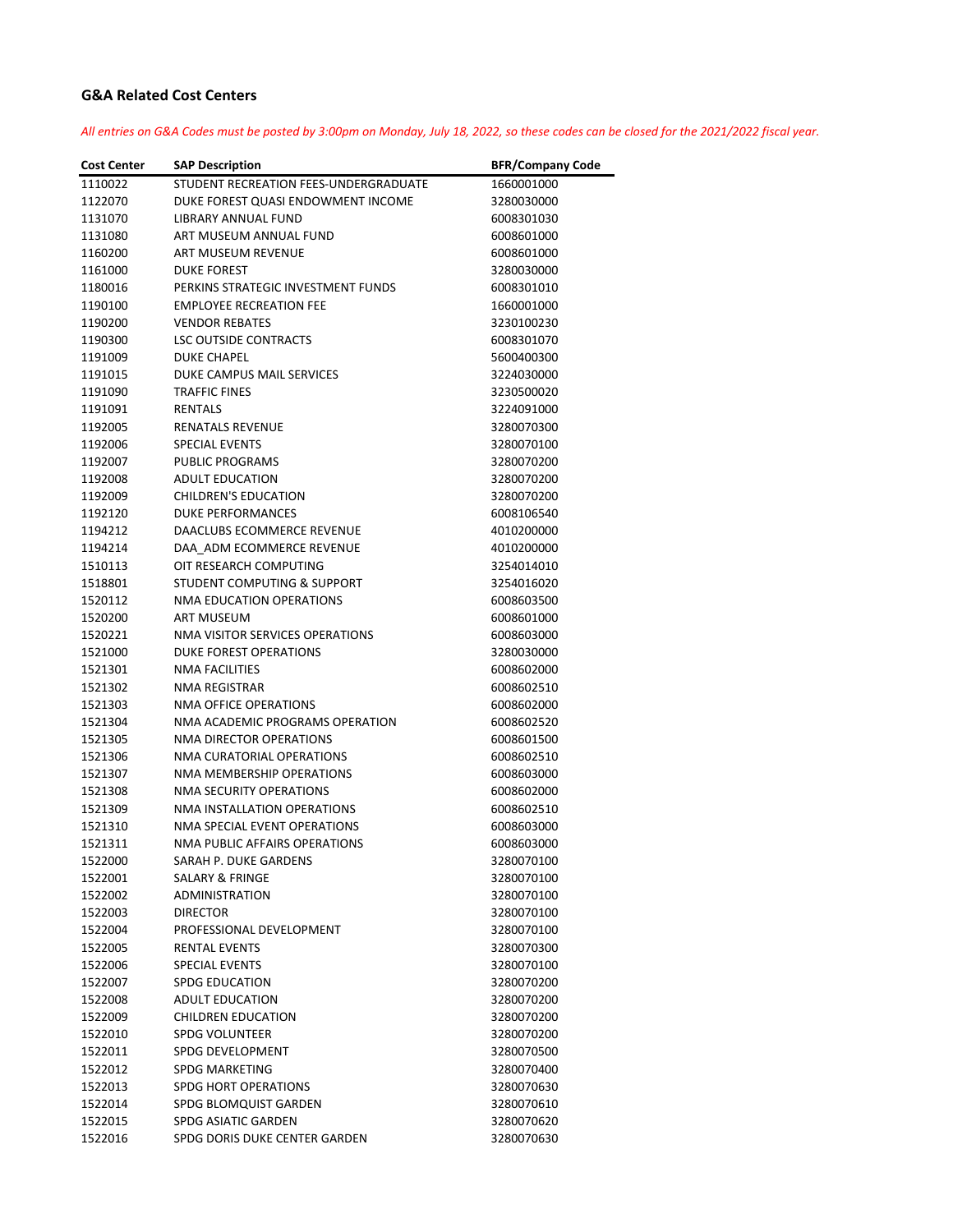## **G&A Related Cost Centers**

All entries on G&A Codes must be posted by 3:00pm on Monday, July 18, 2022, so these codes can be closed for the 2021/2022 fiscal year.

| <b>Cost Center</b> | <b>SAP Description</b>                | <b>BFR/Company Code</b> |
|--------------------|---------------------------------------|-------------------------|
| 1110022            | STUDENT RECREATION FEES-UNDERGRADUATE | 1660001000              |
| 1122070            | DUKE FOREST QUASI ENDOWMENT INCOME    | 3280030000              |
| 1131070            | LIBRARY ANNUAL FUND                   | 6008301030              |
| 1131080            | ART MUSEUM ANNUAL FUND                | 6008601000              |
| 1160200            | ART MUSEUM REVENUE                    | 6008601000              |
| 1161000            | <b>DUKE FOREST</b>                    | 3280030000              |
| 1180016            | PERKINS STRATEGIC INVESTMENT FUNDS    | 6008301010              |
| 1190100            | <b>EMPLOYEE RECREATION FEE</b>        | 1660001000              |
| 1190200            | <b>VENDOR REBATES</b>                 | 3230100230              |
| 1190300            | LSC OUTSIDE CONTRACTS                 | 6008301070              |
| 1191009            | <b>DUKE CHAPEL</b>                    | 5600400300              |
| 1191015            | DUKE CAMPUS MAIL SERVICES             | 3224030000              |
| 1191090            | <b>TRAFFIC FINES</b>                  | 3230500020              |
| 1191091            | <b>RENTALS</b>                        | 3224091000              |
| 1192005            | RENATALS REVENUE                      | 3280070300              |
| 1192006            | <b>SPECIAL EVENTS</b>                 | 3280070100              |
| 1192007            | <b>PUBLIC PROGRAMS</b>                | 3280070200              |
| 1192008            | <b>ADULT EDUCATION</b>                | 3280070200              |
| 1192009            | <b>CHILDREN'S EDUCATION</b>           | 3280070200              |
| 1192120            | <b>DUKE PERFORMANCES</b>              | 6008106540              |
| 1194212            | DAACLUBS ECOMMERCE REVENUE            | 4010200000              |
| 1194214            | DAA ADM ECOMMERCE REVENUE             | 4010200000              |
| 1510113            | OIT RESEARCH COMPUTING                | 3254014010              |
| 1518801            | STUDENT COMPUTING & SUPPORT           | 3254016020              |
| 1520112            | NMA EDUCATION OPERATIONS              | 6008603500              |
| 1520200            | <b>ART MUSEUM</b>                     | 6008601000              |
| 1520221            | NMA VISITOR SERVICES OPERATIONS       | 6008603000              |
| 1521000            | <b>DUKE FOREST OPERATIONS</b>         | 3280030000              |
| 1521301            | <b>NMA FACILITIES</b>                 | 6008602000              |
| 1521302            | NMA REGISTRAR                         | 6008602510              |
| 1521303            | NMA OFFICE OPERATIONS                 | 6008602000              |
| 1521304            | NMA ACADEMIC PROGRAMS OPERATION       | 6008602520              |
| 1521305            | NMA DIRECTOR OPERATIONS               | 6008601500              |
| 1521306            | NMA CURATORIAL OPERATIONS             | 6008602510              |
| 1521307            | NMA MEMBERSHIP OPERATIONS             | 6008603000              |
| 1521308            | <b>NMA SECURITY OPERATIONS</b>        | 6008602000              |
| 1521309            | NMA INSTALLATION OPERATIONS           | 6008602510              |
| 1521310            | NMA SPECIAL EVENT OPERATIONS          | 6008603000              |
| 1521311            | NMA PUBLIC AFFAIRS OPERATIONS         | 6008603000              |
| 1522000            | SARAH P. DUKE GARDENS                 | 3280070100              |
| 1522001            | SALARY & FRINGE                       | 3280070100              |
| 1522002            | <b>ADMINISTRATION</b>                 | 3280070100              |
| 1522003            | <b>DIRECTOR</b>                       | 3280070100              |
| 1522004            | PROFESSIONAL DEVELOPMENT              | 3280070100              |
| 1522005            | <b>RENTAL EVENTS</b>                  | 3280070300              |
| 1522006            | <b>SPECIAL EVENTS</b>                 | 3280070100              |
| 1522007            | <b>SPDG EDUCATION</b>                 | 3280070200              |
| 1522008            | <b>ADULT EDUCATION</b>                | 3280070200              |
| 1522009            | CHILDREN EDUCATION                    | 3280070200              |
| 1522010            | <b>SPDG VOLUNTEER</b>                 | 3280070200              |
| 1522011            | SPDG DEVELOPMENT                      | 3280070500              |
| 1522012            | <b>SPDG MARKETING</b>                 | 3280070400              |
| 1522013            | <b>SPDG HORT OPERATIONS</b>           | 3280070630              |
| 1522014            | SPDG BLOMQUIST GARDEN                 | 3280070610              |
| 1522015            | SPDG ASIATIC GARDEN                   | 3280070620              |
| 1522016            | SPDG DORIS DUKE CENTER GARDEN         | 3280070630              |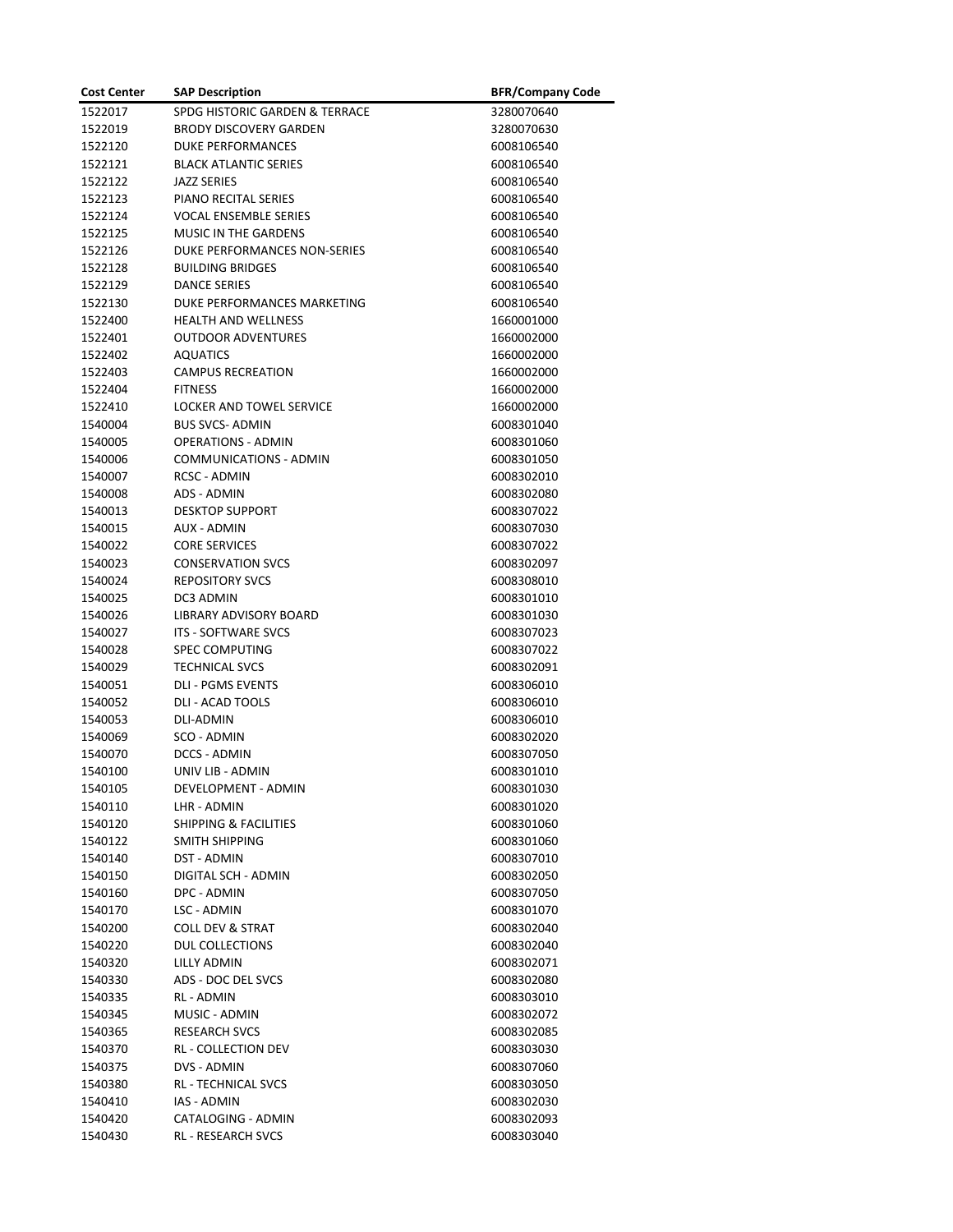| <b>Cost Center</b> | <b>SAP Description</b>                    | <b>BFR/Company Code</b> |
|--------------------|-------------------------------------------|-------------------------|
| 1522017            | SPDG HISTORIC GARDEN & TERRACE            | 3280070640              |
| 1522019            | <b>BRODY DISCOVERY GARDEN</b>             | 3280070630              |
| 1522120            | <b>DUKE PERFORMANCES</b>                  | 6008106540              |
| 1522121            | <b>BLACK ATLANTIC SERIES</b>              | 6008106540              |
| 1522122            | <b>JAZZ SERIES</b>                        | 6008106540              |
| 1522123            | PIANO RECITAL SERIES                      | 6008106540              |
| 1522124            | <b>VOCAL ENSEMBLE SERIES</b>              | 6008106540              |
| 1522125            | <b>MUSIC IN THE GARDENS</b>               | 6008106540              |
| 1522126            | DUKE PERFORMANCES NON-SERIES              | 6008106540              |
| 1522128            | <b>BUILDING BRIDGES</b>                   | 6008106540              |
| 1522129            | <b>DANCE SERIES</b>                       | 6008106540              |
| 1522130            | DUKE PERFORMANCES MARKETING               | 6008106540              |
| 1522400            | <b>HEALTH AND WELLNESS</b>                | 1660001000              |
| 1522401            | <b>OUTDOOR ADVENTURES</b>                 | 1660002000              |
| 1522402            | <b>AQUATICS</b>                           | 1660002000              |
| 1522403            | <b>CAMPUS RECREATION</b>                  | 1660002000              |
| 1522404            | <b>FITNESS</b>                            | 1660002000              |
| 1522410            | <b>LOCKER AND TOWEL SERVICE</b>           | 1660002000              |
| 1540004            | <b>BUS SVCS- ADMIN</b>                    | 6008301040              |
| 1540005            | <b>OPERATIONS - ADMIN</b>                 | 6008301060              |
| 1540006            | COMMUNICATIONS - ADMIN                    | 6008301050              |
| 1540007            | <b>RCSC - ADMIN</b>                       | 6008302010              |
| 1540008            | ADS - ADMIN                               | 6008302080              |
| 1540013            | <b>DESKTOP SUPPORT</b>                    | 6008307022              |
| 1540015            | <b>AUX - ADMIN</b>                        | 6008307030              |
| 1540022            | <b>CORE SERVICES</b>                      | 6008307022              |
| 1540023            | <b>CONSERVATION SVCS</b>                  | 6008302097              |
| 1540024            | <b>REPOSITORY SVCS</b>                    | 6008308010              |
| 1540025            | DC3 ADMIN                                 | 6008301010              |
| 1540026            | LIBRARY ADVISORY BOARD                    | 6008301030              |
| 1540027            | <b>ITS - SOFTWARE SVCS</b>                | 6008307023              |
| 1540028            | <b>SPEC COMPUTING</b>                     | 6008307022              |
| 1540029            | <b>TECHNICAL SVCS</b>                     | 6008302091              |
| 1540051            | <b>DLI - PGMS EVENTS</b>                  | 6008306010              |
| 1540052            | <b>DLI - ACAD TOOLS</b>                   | 6008306010              |
| 1540053            | <b>DLI-ADMIN</b>                          | 6008306010              |
| 1540069            | SCO - ADMIN                               | 6008302020              |
| 1540070            | DCCS - ADMIN                              | 6008307050              |
| 1540100            | UNIV LIB - ADMIN                          | 6008301010              |
| 1540105            | DEVELOPMENT - ADMIN                       | 6008301030              |
| 1540110            | LHR - ADMIN                               | 6008301020              |
| 1540120            | <b>SHIPPING &amp; FACILITIES</b>          | 6008301060              |
| 1540122            | SMITH SHIPPING                            | 6008301060              |
| 1540140            | DST - ADMIN                               | 6008307010              |
| 1540150            | DIGITAL SCH - ADMIN                       | 6008302050              |
| 1540160            | DPC - ADMIN                               | 6008307050              |
| 1540170            | LSC - ADMIN                               | 6008301070              |
| 1540200            | <b>COLL DEV &amp; STRAT</b>               | 6008302040              |
| 1540220            | DUL COLLECTIONS                           | 6008302040              |
| 1540320            | LILLY ADMIN                               | 6008302071              |
| 1540330            | ADS - DOC DEL SVCS                        | 6008302080              |
| 1540335            | RL - ADMIN                                | 6008303010              |
| 1540345            | MUSIC - ADMIN                             | 6008302072              |
|                    | <b>RESEARCH SVCS</b>                      | 6008302085              |
| 1540365            | RL - COLLECTION DEV                       | 6008303030              |
| 1540370            |                                           |                         |
| 1540375            | DVS - ADMIN<br><b>RL - TECHNICAL SVCS</b> | 6008307060              |
| 1540380            |                                           | 6008303050              |
| 1540410            | IAS - ADMIN                               | 6008302030              |
| 1540420            | CATALOGING - ADMIN                        | 6008302093              |
| 1540430            | <b>RL - RESEARCH SVCS</b>                 | 6008303040              |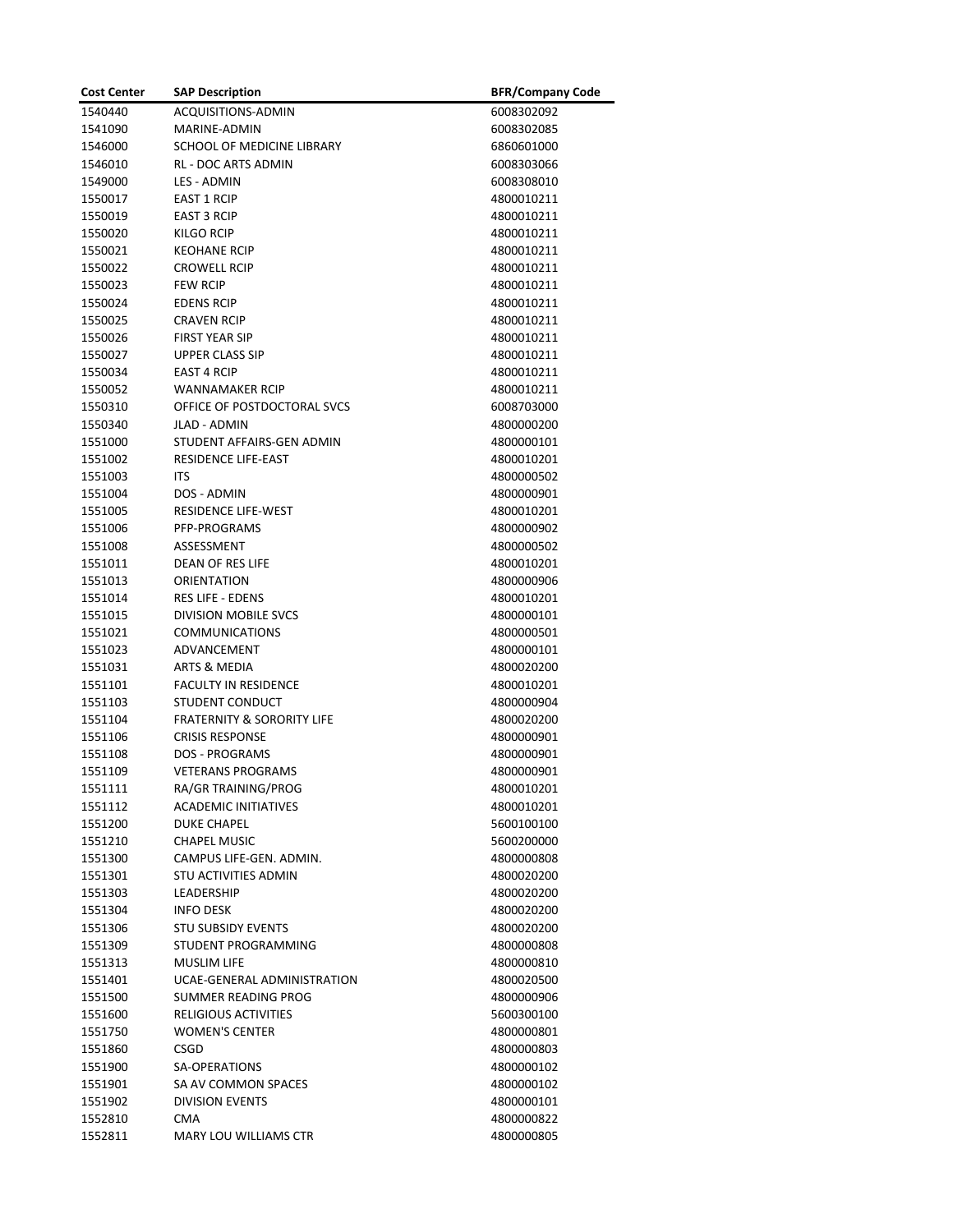| <b>Cost Center</b> | <b>SAP Description</b>                | <b>BFR/Company Code</b> |
|--------------------|---------------------------------------|-------------------------|
| 1540440            | ACQUISITIONS-ADMIN                    | 6008302092              |
| 1541090            | MARINE-ADMIN                          | 6008302085              |
| 1546000            | SCHOOL OF MEDICINE LIBRARY            | 6860601000              |
| 1546010            | <b>RL - DOC ARTS ADMIN</b>            | 6008303066              |
| 1549000            | LES - ADMIN                           | 6008308010              |
| 1550017            | <b>EAST 1 RCIP</b>                    | 4800010211              |
| 1550019            | <b>EAST 3 RCIP</b>                    | 4800010211              |
| 1550020            | <b>KILGO RCIP</b>                     | 4800010211              |
| 1550021            | <b>KEOHANE RCIP</b>                   | 4800010211              |
| 1550022            | <b>CROWELL RCIP</b>                   | 4800010211              |
| 1550023            | <b>FEW RCIP</b>                       | 4800010211              |
| 1550024            | <b>EDENS RCIP</b>                     | 4800010211              |
| 1550025            | <b>CRAVEN RCIP</b>                    | 4800010211              |
| 1550026            | <b>FIRST YEAR SIP</b>                 | 4800010211              |
| 1550027            | <b>UPPER CLASS SIP</b>                | 4800010211              |
| 1550034            | <b>EAST 4 RCIP</b>                    | 4800010211              |
| 1550052            | <b>WANNAMAKER RCIP</b>                | 4800010211              |
| 1550310            | OFFICE OF POSTDOCTORAL SVCS           | 6008703000              |
| 1550340            | <b>JLAD - ADMIN</b>                   | 4800000200              |
| 1551000            | STUDENT AFFAIRS-GEN ADMIN             | 4800000101              |
| 1551002            | <b>RESIDENCE LIFE-EAST</b>            | 4800010201              |
| 1551003            | <b>ITS</b>                            | 4800000502              |
| 1551004            | DOS - ADMIN                           | 4800000901              |
| 1551005            | <b>RESIDENCE LIFE-WEST</b>            | 4800010201              |
| 1551006            | PFP-PROGRAMS                          | 4800000902              |
| 1551008            | ASSESSMENT                            | 4800000502              |
| 1551011            | <b>DEAN OF RES LIFE</b>               | 4800010201              |
| 1551013            | ORIENTATION                           | 4800000906              |
| 1551014            | <b>RES LIFE - EDENS</b>               | 4800010201              |
| 1551015            | <b>DIVISION MOBILE SVCS</b>           | 4800000101              |
| 1551021            | <b>COMMUNICATIONS</b>                 | 4800000501              |
| 1551023            | ADVANCEMENT                           | 4800000101              |
| 1551031            | ARTS & MEDIA                          | 4800020200              |
| 1551101            | <b>FACULTY IN RESIDENCE</b>           | 4800010201              |
| 1551103            | STUDENT CONDUCT                       | 4800000904              |
| 1551104            | <b>FRATERNITY &amp; SORORITY LIFE</b> | 4800020200              |
| 1551106            | <b>CRISIS RESPONSE</b>                | 4800000901              |
| 1551108            | <b>DOS - PROGRAMS</b>                 | 4800000901              |
| 1551109            | <b>VETERANS PROGRAMS</b>              | 4800000901              |
| 1551111            | RA/GR TRAINING/PROG                   | 4800010201              |
| 1551112            | <b>ACADEMIC INITIATIVES</b>           | 4800010201              |
| 1551200            | <b>DUKE CHAPEL</b>                    | 5600100100              |
| 1551210            | <b>CHAPEL MUSIC</b>                   | 5600200000              |
| 1551300            | CAMPUS LIFE-GEN. ADMIN.               | 4800000808              |
| 1551301            | STU ACTIVITIES ADMIN                  | 4800020200              |
| 1551303            | <b>LEADERSHIP</b>                     | 4800020200              |
| 1551304            | INFO DESK                             | 4800020200              |
| 1551306            | <b>STU SUBSIDY EVENTS</b>             | 4800020200              |
| 1551309            | STUDENT PROGRAMMING                   | 4800000808              |
| 1551313            | <b>MUSLIM LIFE</b>                    | 4800000810              |
| 1551401            | UCAE-GENERAL ADMINISTRATION           | 4800020500              |
| 1551500            | SUMMER READING PROG                   | 4800000906              |
| 1551600            | <b>RELIGIOUS ACTIVITIES</b>           | 5600300100              |
| 1551750            | <b>WOMEN'S CENTER</b>                 | 4800000801              |
| 1551860            | <b>CSGD</b>                           | 4800000803              |
| 1551900            | SA-OPERATIONS                         | 4800000102              |
| 1551901            | SA AV COMMON SPACES                   | 4800000102              |
| 1551902            | <b>DIVISION EVENTS</b>                | 4800000101              |
| 1552810            | CMA                                   | 4800000822              |
| 1552811            | MARY LOU WILLIAMS CTR                 | 4800000805              |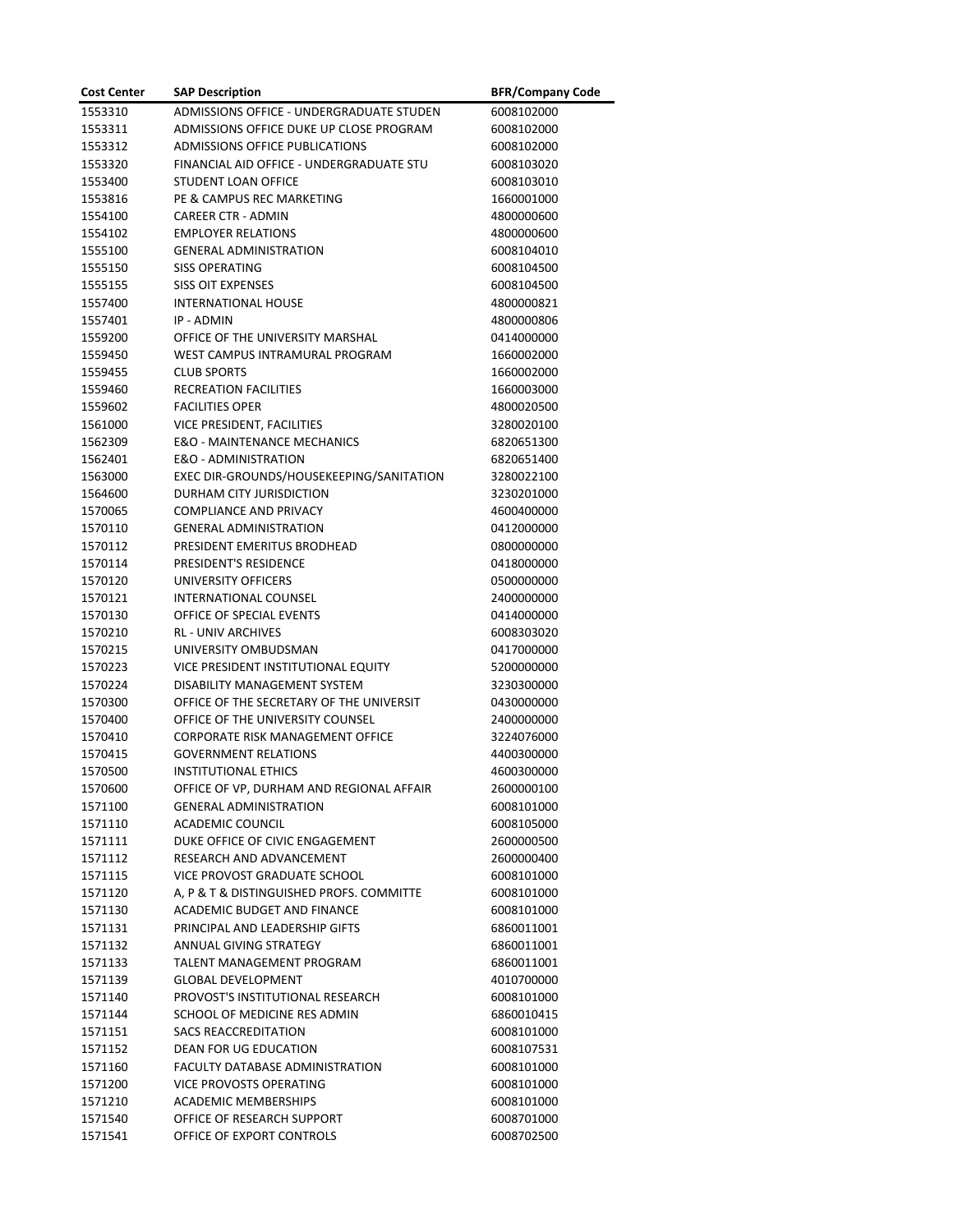| <b>Cost Center</b> | <b>SAP Description</b>                   | <b>BFR/Company Code</b> |
|--------------------|------------------------------------------|-------------------------|
| 1553310            | ADMISSIONS OFFICE - UNDERGRADUATE STUDEN | 6008102000              |
| 1553311            | ADMISSIONS OFFICE DUKE UP CLOSE PROGRAM  | 6008102000              |
| 1553312            | <b>ADMISSIONS OFFICE PUBLICATIONS</b>    | 6008102000              |
| 1553320            | FINANCIAL AID OFFICE - UNDERGRADUATE STU | 6008103020              |
| 1553400            | STUDENT LOAN OFFICE                      | 6008103010              |
| 1553816            | PE & CAMPUS REC MARKETING                | 1660001000              |
| 1554100            | <b>CAREER CTR - ADMIN</b>                | 4800000600              |
| 1554102            | <b>EMPLOYER RELATIONS</b>                | 4800000600              |
| 1555100            | <b>GENERAL ADMINISTRATION</b>            | 6008104010              |
| 1555150            | <b>SISS OPERATING</b>                    | 6008104500              |
| 1555155            | <b>SISS OIT EXPENSES</b>                 | 6008104500              |
| 1557400            | <b>INTERNATIONAL HOUSE</b>               | 4800000821              |
| 1557401            | IP - ADMIN                               | 4800000806              |
| 1559200            | OFFICE OF THE UNIVERSITY MARSHAL         | 0414000000              |
| 1559450            | WEST CAMPUS INTRAMURAL PROGRAM           | 1660002000              |
| 1559455            | <b>CLUB SPORTS</b>                       | 1660002000              |
| 1559460            | RECREATION FACILITIES                    | 1660003000              |
| 1559602            | <b>FACILITIES OPER</b>                   | 4800020500              |
| 1561000            | <b>VICE PRESIDENT, FACILITIES</b>        | 3280020100              |
| 1562309            | <b>E&amp;O - MAINTENANCE MECHANICS</b>   | 6820651300              |
| 1562401            | <b>E&amp;O - ADMINISTRATION</b>          | 6820651400              |
| 1563000            | EXEC DIR-GROUNDS/HOUSEKEEPING/SANITATION | 3280022100              |
| 1564600            | DURHAM CITY JURISDICTION                 | 3230201000              |
| 1570065            | <b>COMPLIANCE AND PRIVACY</b>            | 4600400000              |
| 1570110            | <b>GENERAL ADMINISTRATION</b>            | 0412000000              |
| 1570112            | PRESIDENT EMERITUS BRODHEAD              | 0800000000              |
| 1570114            | PRESIDENT'S RESIDENCE                    | 0418000000              |
| 1570120            | <b>UNIVERSITY OFFICERS</b>               | 0500000000              |
| 1570121            | INTERNATIONAL COUNSEL                    | 2400000000              |
| 1570130            | OFFICE OF SPECIAL EVENTS                 | 0414000000              |
| 1570210            | <b>RL - UNIV ARCHIVES</b>                | 6008303020              |
| 1570215            | UNIVERSITY OMBUDSMAN                     | 0417000000              |
| 1570223            | VICE PRESIDENT INSTITUTIONAL EQUITY      | 5200000000              |
| 1570224            | DISABILITY MANAGEMENT SYSTEM             | 3230300000              |
| 1570300            | OFFICE OF THE SECRETARY OF THE UNIVERSIT | 0430000000              |
| 1570400            | OFFICE OF THE UNIVERSITY COUNSEL         | 2400000000              |
| 1570410            | <b>CORPORATE RISK MANAGEMENT OFFICE</b>  | 3224076000              |
| 1570415            | <b>GOVERNMENT RELATIONS</b>              | 4400300000              |
| 1570500            | <b>INSTITUTIONAL ETHICS</b>              | 4600300000              |
| 1570600            | OFFICE OF VP, DURHAM AND REGIONAL AFFAIR | 2600000100              |
| 1571100            | <b>GENERAL ADMINISTRATION</b>            | 6008101000              |
| 1571110            | <b>ACADEMIC COUNCIL</b>                  | 6008105000              |
| 1571111            | DUKE OFFICE OF CIVIC ENGAGEMENT          | 2600000500              |
| 1571112            | RESEARCH AND ADVANCEMENT                 | 2600000400              |
| 1571115            | VICE PROVOST GRADUATE SCHOOL             | 6008101000              |
| 1571120            | A, P & T & DISTINGUISHED PROFS. COMMITTE | 6008101000              |
| 1571130            | ACADEMIC BUDGET AND FINANCE              | 6008101000              |
| 1571131            | PRINCIPAL AND LEADERSHIP GIFTS           | 6860011001              |
| 1571132            | ANNUAL GIVING STRATEGY                   | 6860011001              |
| 1571133            | TALENT MANAGEMENT PROGRAM                | 6860011001              |
| 1571139            | <b>GLOBAL DEVELOPMENT</b>                | 4010700000              |
| 1571140            | PROVOST'S INSTITUTIONAL RESEARCH         | 6008101000              |
| 1571144            | SCHOOL OF MEDICINE RES ADMIN             | 6860010415              |
| 1571151            | <b>SACS REACCREDITATION</b>              | 6008101000              |
| 1571152            | DEAN FOR UG EDUCATION                    | 6008107531              |
| 1571160            | FACULTY DATABASE ADMINISTRATION          | 6008101000              |
| 1571200            | <b>VICE PROVOSTS OPERATING</b>           | 6008101000              |
| 1571210            | <b>ACADEMIC MEMBERSHIPS</b>              | 6008101000              |
| 1571540            | OFFICE OF RESEARCH SUPPORT               | 6008701000              |
| 1571541            | OFFICE OF EXPORT CONTROLS                | 6008702500              |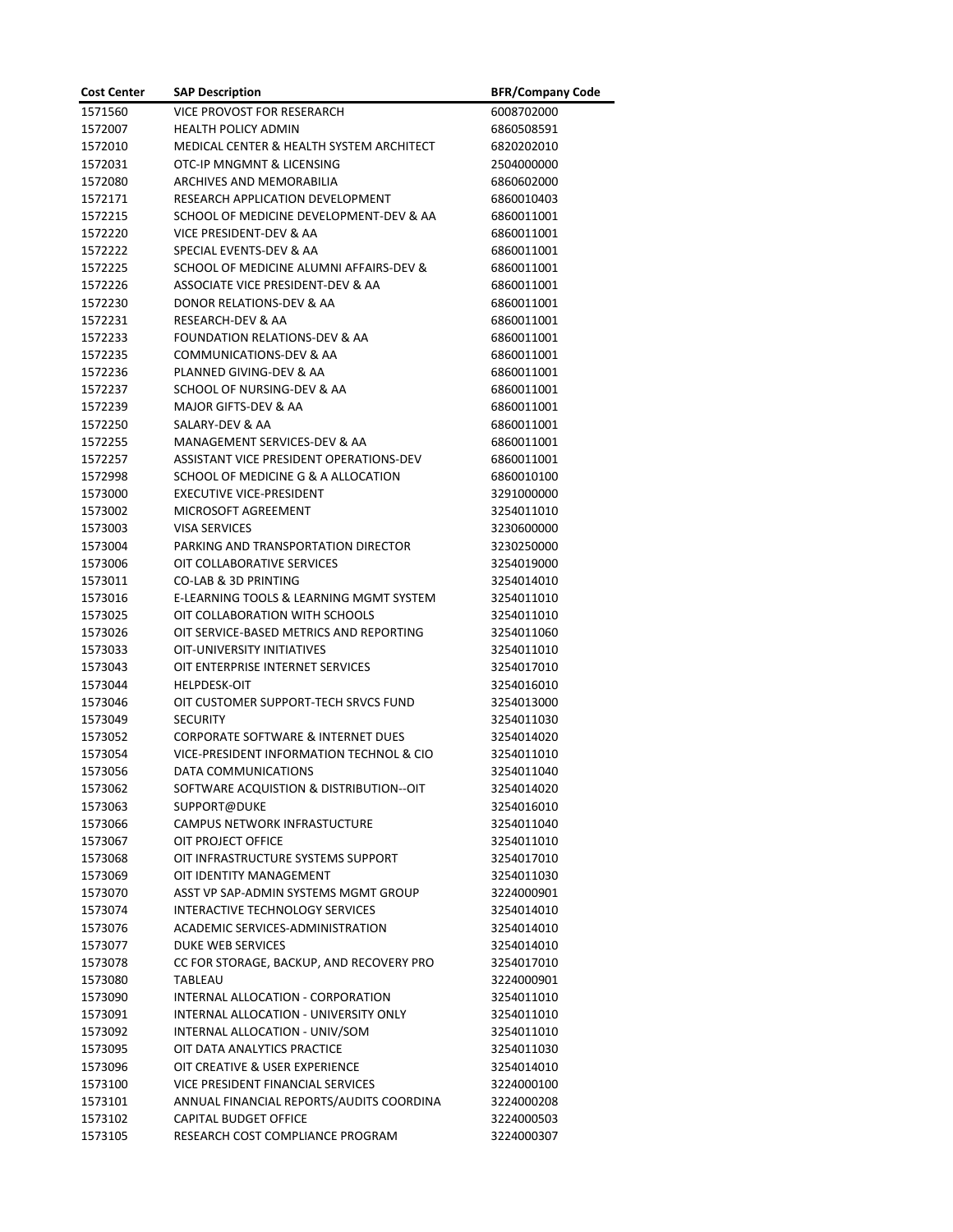| <b>Cost Center</b> | <b>SAP Description</b>                        | <b>BFR/Company Code</b> |
|--------------------|-----------------------------------------------|-------------------------|
| 1571560            | VICE PROVOST FOR RESERARCH                    | 6008702000              |
| 1572007            | <b>HEALTH POLICY ADMIN</b>                    | 6860508591              |
| 1572010            | MEDICAL CENTER & HEALTH SYSTEM ARCHITECT      | 6820202010              |
| 1572031            | OTC-IP MNGMNT & LICENSING                     | 2504000000              |
| 1572080            | ARCHIVES AND MEMORABILIA                      | 6860602000              |
| 1572171            | RESEARCH APPLICATION DEVELOPMENT              | 6860010403              |
| 1572215            | SCHOOL OF MEDICINE DEVELOPMENT-DEV & AA       | 6860011001              |
| 1572220            | VICE PRESIDENT-DEV & AA                       | 6860011001              |
| 1572222            | SPECIAL EVENTS-DEV & AA                       | 6860011001              |
| 1572225            | SCHOOL OF MEDICINE ALUMNI AFFAIRS-DEV &       | 6860011001              |
| 1572226            | ASSOCIATE VICE PRESIDENT-DEV & AA             | 6860011001              |
| 1572230            | DONOR RELATIONS-DEV & AA                      | 6860011001              |
| 1572231            | RESEARCH-DEV & AA                             | 6860011001              |
| 1572233            | FOUNDATION RELATIONS-DEV & AA                 | 6860011001              |
| 1572235            | COMMUNICATIONS-DEV & AA                       | 6860011001              |
| 1572236            | PLANNED GIVING-DEV & AA                       | 6860011001              |
| 1572237            | SCHOOL OF NURSING-DEV & AA                    | 6860011001              |
| 1572239            | MAJOR GIFTS-DEV & AA                          | 6860011001              |
| 1572250            | SALARY-DEV & AA                               | 6860011001              |
| 1572255            | MANAGEMENT SERVICES-DEV & AA                  | 6860011001              |
| 1572257            | ASSISTANT VICE PRESIDENT OPERATIONS-DEV       | 6860011001              |
| 1572998            | SCHOOL OF MEDICINE G & A ALLOCATION           | 6860010100              |
| 1573000            | <b>EXECUTIVE VICE-PRESIDENT</b>               | 3291000000              |
| 1573002            | MICROSOFT AGREEMENT                           | 3254011010              |
| 1573003            | <b>VISA SERVICES</b>                          | 3230600000              |
| 1573004            | PARKING AND TRANSPORTATION DIRECTOR           | 3230250000              |
| 1573006            | OIT COLLABORATIVE SERVICES                    | 3254019000              |
| 1573011            | <b>CO-LAB &amp; 3D PRINTING</b>               | 3254014010              |
| 1573016            | E-LEARNING TOOLS & LEARNING MGMT SYSTEM       | 3254011010              |
| 1573025            | OIT COLLABORATION WITH SCHOOLS                | 3254011010              |
| 1573026            | OIT SERVICE-BASED METRICS AND REPORTING       | 3254011060              |
| 1573033            | <b>OIT-UNIVERSITY INITIATIVES</b>             | 3254011010              |
| 1573043            | OIT ENTERPRISE INTERNET SERVICES              | 3254017010              |
| 1573044            | <b>HELPDESK-OIT</b>                           | 3254016010              |
| 1573046            | OIT CUSTOMER SUPPORT-TECH SRVCS FUND          | 3254013000              |
| 1573049            | <b>SECURITY</b>                               | 3254011030              |
| 1573052            | <b>CORPORATE SOFTWARE &amp; INTERNET DUES</b> | 3254014020              |
| 1573054            | VICE-PRESIDENT INFORMATION TECHNOL & CIO      | 3254011010              |
| 1573056            | DATA COMMUNICATIONS                           | 3254011040              |
| 1573062            | SOFTWARE ACQUISTION & DISTRIBUTION--OIT       | 3254014020              |
| 1573063            | SUPPORT@DUKE                                  | 3254016010              |
| 1573066            | <b>CAMPUS NETWORK INFRASTUCTURE</b>           | 3254011040              |
| 1573067            | OIT PROJECT OFFICE                            | 3254011010              |
| 1573068            | OIT INFRASTRUCTURE SYSTEMS SUPPORT            | 3254017010              |
| 1573069            | OIT IDENTITY MANAGEMENT                       | 3254011030              |
| 1573070            | ASST VP SAP-ADMIN SYSTEMS MGMT GROUP          | 3224000901              |
| 1573074            | INTERACTIVE TECHNOLOGY SERVICES               | 3254014010              |
| 1573076            | ACADEMIC SERVICES-ADMINISTRATION              | 3254014010              |
| 1573077            | <b>DUKE WEB SERVICES</b>                      | 3254014010              |
| 1573078            | CC FOR STORAGE, BACKUP, AND RECOVERY PRO      | 3254017010              |
| 1573080            | TABLEAU                                       | 3224000901              |
| 1573090            | INTERNAL ALLOCATION - CORPORATION             | 3254011010              |
| 1573091            | INTERNAL ALLOCATION - UNIVERSITY ONLY         | 3254011010              |
| 1573092            | INTERNAL ALLOCATION - UNIV/SOM                | 3254011010              |
| 1573095            | OIT DATA ANALYTICS PRACTICE                   | 3254011030              |
| 1573096            | OIT CREATIVE & USER EXPERIENCE                | 3254014010              |
| 1573100            | VICE PRESIDENT FINANCIAL SERVICES             | 3224000100              |
| 1573101            | ANNUAL FINANCIAL REPORTS/AUDITS COORDINA      | 3224000208              |
| 1573102            | CAPITAL BUDGET OFFICE                         | 3224000503              |
| 1573105            | RESEARCH COST COMPLIANCE PROGRAM              | 3224000307              |
|                    |                                               |                         |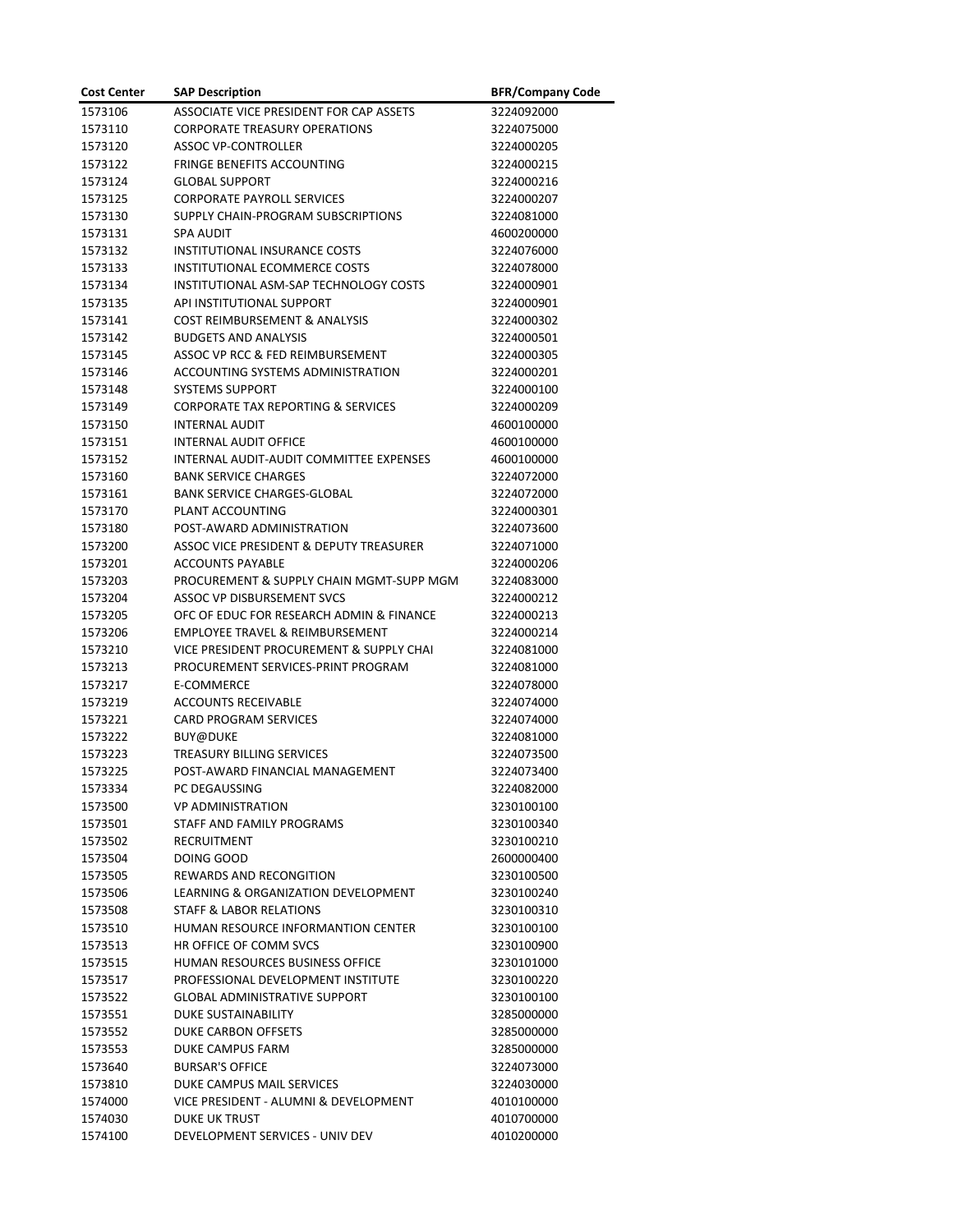| <b>Cost Center</b> | <b>SAP Description</b>                        | <b>BFR/Company Code</b> |
|--------------------|-----------------------------------------------|-------------------------|
| 1573106            | ASSOCIATE VICE PRESIDENT FOR CAP ASSETS       | 3224092000              |
| 1573110            | <b>CORPORATE TREASURY OPERATIONS</b>          | 3224075000              |
| 1573120            | <b>ASSOC VP-CONTROLLER</b>                    | 3224000205              |
| 1573122            | <b>FRINGE BENEFITS ACCOUNTING</b>             | 3224000215              |
| 1573124            | <b>GLOBAL SUPPORT</b>                         | 3224000216              |
| 1573125            | <b>CORPORATE PAYROLL SERVICES</b>             | 3224000207              |
| 1573130            | SUPPLY CHAIN-PROGRAM SUBSCRIPTIONS            | 3224081000              |
| 1573131            | <b>SPA AUDIT</b>                              | 4600200000              |
| 1573132            | <b>INSTITUTIONAL INSURANCE COSTS</b>          | 3224076000              |
| 1573133            | <b>INSTITUTIONAL ECOMMERCE COSTS</b>          | 3224078000              |
| 1573134            | INSTITUTIONAL ASM-SAP TECHNOLOGY COSTS        | 3224000901              |
| 1573135            | API INSTITUTIONAL SUPPORT                     | 3224000901              |
| 1573141            | COST REIMBURSEMENT & ANALYSIS                 | 3224000302              |
| 1573142            | <b>BUDGETS AND ANALYSIS</b>                   | 3224000501              |
| 1573145            | ASSOC VP RCC & FED REIMBURSEMENT              | 3224000305              |
| 1573146            | <b>ACCOUNTING SYSTEMS ADMINISTRATION</b>      | 3224000201              |
| 1573148            | <b>SYSTEMS SUPPORT</b>                        | 3224000100              |
| 1573149            | <b>CORPORATE TAX REPORTING &amp; SERVICES</b> | 3224000209              |
| 1573150            | <b>INTERNAL AUDIT</b>                         | 4600100000              |
| 1573151            | <b>INTERNAL AUDIT OFFICE</b>                  | 4600100000              |
| 1573152            | INTERNAL AUDIT-AUDIT COMMITTEE EXPENSES       | 4600100000              |
| 1573160            | <b>BANK SERVICE CHARGES</b>                   | 3224072000              |
| 1573161            | <b>BANK SERVICE CHARGES-GLOBAL</b>            | 3224072000              |
| 1573170            | PLANT ACCOUNTING                              | 3224000301              |
| 1573180            | POST-AWARD ADMINISTRATION                     | 3224073600              |
| 1573200            | ASSOC VICE PRESIDENT & DEPUTY TREASURER       | 3224071000              |
| 1573201            | <b>ACCOUNTS PAYABLE</b>                       | 3224000206              |
| 1573203            | PROCUREMENT & SUPPLY CHAIN MGMT-SUPP MGM      | 3224083000              |
| 1573204            | ASSOC VP DISBURSEMENT SVCS                    | 3224000212              |
| 1573205            | OFC OF EDUC FOR RESEARCH ADMIN & FINANCE      | 3224000213              |
| 1573206            | <b>EMPLOYEE TRAVEL &amp; REIMBURSEMENT</b>    | 3224000214              |
| 1573210            | VICE PRESIDENT PROCUREMENT & SUPPLY CHAI      | 3224081000              |
| 1573213            | PROCUREMENT SERVICES-PRINT PROGRAM            | 3224081000              |
| 1573217            | E-COMMERCE                                    | 3224078000              |
| 1573219            | <b>ACCOUNTS RECEIVABLE</b>                    | 3224074000              |
| 1573221            | <b>CARD PROGRAM SERVICES</b>                  | 3224074000              |
| 1573222            | <b>BUY@DUKE</b>                               | 3224081000              |
| 1573223            | TREASURY BILLING SERVICES                     | 3224073500              |
| 1573225            | POST-AWARD FINANCIAL MANAGEMENT               | 3224073400              |
| 1573334            | PC DEGAUSSING                                 | 3224082000              |
| 1573500            | <b>VP ADMINISTRATION</b>                      | 3230100100              |
| 1573501            | STAFF AND FAMILY PROGRAMS                     | 3230100340              |
| 1573502            | RECRUITMENT                                   | 3230100210              |
| 1573504            | DOING GOOD                                    | 2600000400              |
| 1573505            | <b>REWARDS AND RECONGITION</b>                | 3230100500              |
| 1573506            | LEARNING & ORGANIZATION DEVELOPMENT           | 3230100240              |
| 1573508            | STAFF & LABOR RELATIONS                       | 3230100310              |
| 1573510            | HUMAN RESOURCE INFORMANTION CENTER            | 3230100100              |
| 1573513            | HR OFFICE OF COMM SVCS                        | 3230100900              |
| 1573515            | <b>HUMAN RESOURCES BUSINESS OFFICE</b>        | 3230101000              |
| 1573517            | PROFESSIONAL DEVELOPMENT INSTITUTE            | 3230100220              |
| 1573522            | <b>GLOBAL ADMINISTRATIVE SUPPORT</b>          | 3230100100              |
| 1573551            | <b>DUKE SUSTAINABILITY</b>                    | 3285000000              |
| 1573552            | DUKE CARBON OFFSETS                           | 3285000000              |
| 1573553            | DUKE CAMPUS FARM                              | 3285000000              |
| 1573640            | <b>BURSAR'S OFFICE</b>                        | 3224073000              |
| 1573810            | DUKE CAMPUS MAIL SERVICES                     | 3224030000              |
| 1574000            | VICE PRESIDENT - ALUMNI & DEVELOPMENT         | 4010100000              |
| 1574030            | <b>DUKE UK TRUST</b>                          | 4010700000              |
| 1574100            | DEVELOPMENT SERVICES - UNIV DEV               | 4010200000              |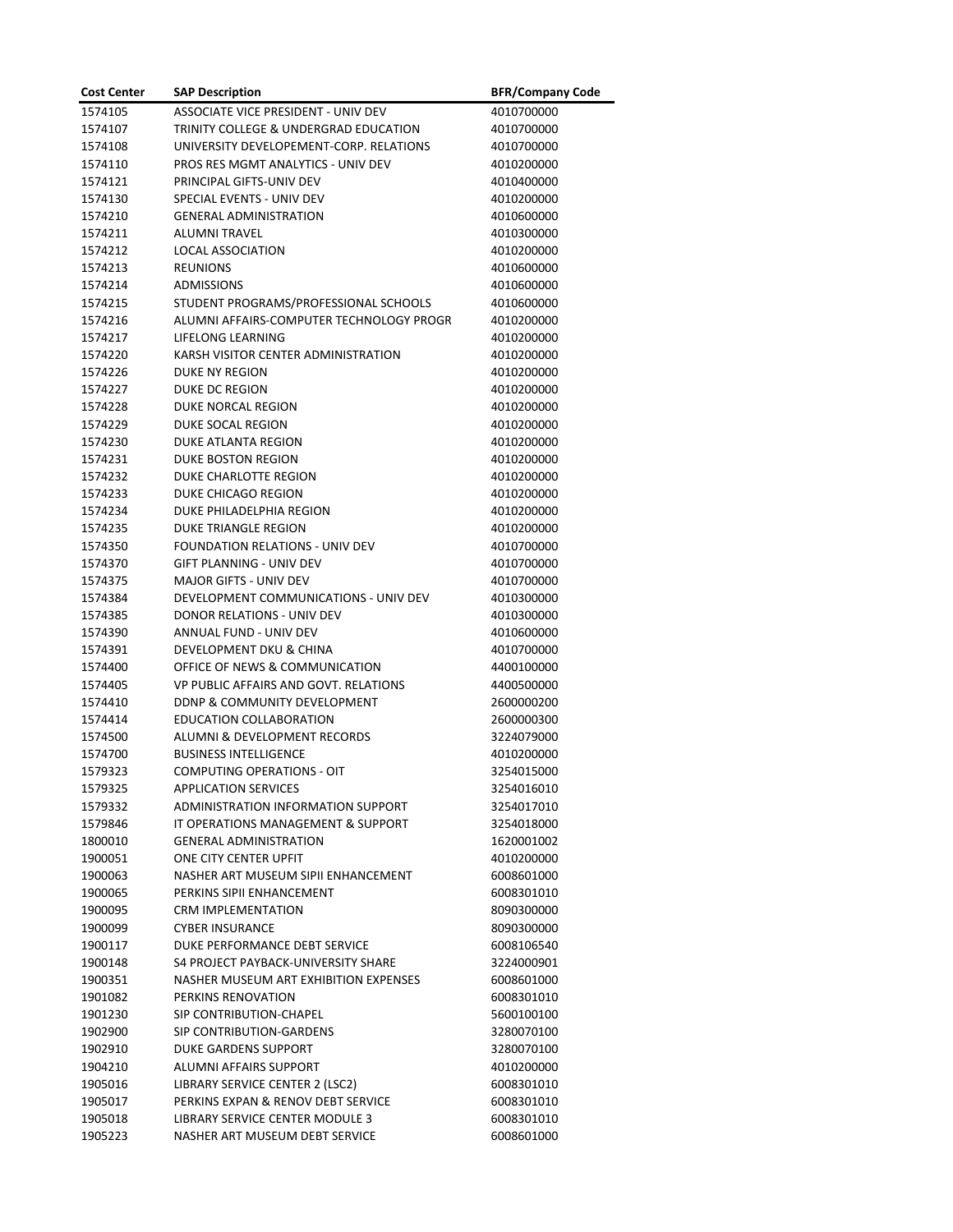| <b>Cost Center</b> | <b>SAP Description</b>                                    | <b>BFR/Company Code</b>  |
|--------------------|-----------------------------------------------------------|--------------------------|
| 1574105            | ASSOCIATE VICE PRESIDENT - UNIV DEV                       | 4010700000               |
| 1574107            | TRINITY COLLEGE & UNDERGRAD EDUCATION                     | 4010700000               |
| 1574108            | UNIVERSITY DEVELOPEMENT-CORP. RELATIONS                   | 4010700000               |
| 1574110            | PROS RES MGMT ANALYTICS - UNIV DEV                        | 4010200000               |
| 1574121            | PRINCIPAL GIFTS-UNIV DEV                                  | 4010400000               |
| 1574130            | SPECIAL EVENTS - UNIV DEV                                 | 4010200000               |
| 1574210            | <b>GENERAL ADMINISTRATION</b>                             | 4010600000               |
| 1574211            | <b>ALUMNI TRAVEL</b>                                      | 4010300000               |
| 1574212            | <b>LOCAL ASSOCIATION</b>                                  | 4010200000               |
| 1574213            | <b>REUNIONS</b>                                           | 4010600000               |
| 1574214            | <b>ADMISSIONS</b>                                         | 4010600000               |
| 1574215            | STUDENT PROGRAMS/PROFESSIONAL SCHOOLS                     | 4010600000               |
| 1574216            | ALUMNI AFFAIRS-COMPUTER TECHNOLOGY PROGR                  | 4010200000               |
| 1574217            | LIFELONG LEARNING                                         | 4010200000               |
| 1574220            | KARSH VISITOR CENTER ADMINISTRATION                       | 4010200000               |
| 1574226            | <b>DUKE NY REGION</b>                                     | 4010200000               |
| 1574227            | <b>DUKE DC REGION</b>                                     | 4010200000               |
| 1574228            | DUKE NORCAL REGION                                        | 4010200000               |
| 1574229            | DUKE SOCAL REGION                                         | 4010200000               |
| 1574230            | <b>DUKE ATLANTA REGION</b>                                | 4010200000               |
| 1574231            | DUKE BOSTON REGION                                        | 4010200000               |
| 1574232            | DUKE CHARLOTTE REGION                                     | 4010200000               |
| 1574233            | DUKE CHICAGO REGION                                       | 4010200000               |
| 1574234            | DUKE PHILADELPHIA REGION                                  | 4010200000               |
| 1574235            | <b>DUKE TRIANGLE REGION</b>                               | 4010200000               |
| 1574350            | FOUNDATION RELATIONS - UNIV DEV                           | 4010700000               |
| 1574370            | GIFT PLANNING - UNIV DEV                                  | 4010700000               |
| 1574375            | <b>MAJOR GIFTS - UNIV DEV</b>                             | 4010700000               |
| 1574384            | DEVELOPMENT COMMUNICATIONS - UNIV DEV                     | 4010300000               |
| 1574385            | DONOR RELATIONS - UNIV DEV                                | 4010300000               |
| 1574390            | ANNUAL FUND - UNIV DEV                                    | 4010600000               |
| 1574391            | DEVELOPMENT DKU & CHINA<br>OFFICE OF NEWS & COMMUNICATION | 4010700000               |
| 1574400<br>1574405 | VP PUBLIC AFFAIRS AND GOVT. RELATIONS                     | 4400100000<br>4400500000 |
| 1574410            | DDNP & COMMUNITY DEVELOPMENT                              | 2600000200               |
| 1574414            | <b>EDUCATION COLLABORATION</b>                            | 2600000300               |
| 1574500            | <b>ALUMNI &amp; DEVELOPMENT RECORDS</b>                   | 3224079000               |
| 1574700            | <b>BUSINESS INTELLIGENCE</b>                              | 4010200000               |
| 1579323            | <b>COMPUTING OPERATIONS - OIT</b>                         | 3254015000               |
| 1579325            | <b>APPLICATION SERVICES</b>                               | 3254016010               |
| 1579332            | ADMINISTRATION INFORMATION SUPPORT                        | 3254017010               |
| 1579846            | IT OPERATIONS MANAGEMENT & SUPPORT                        | 3254018000               |
| 1800010            | <b>GENERAL ADMINISTRATION</b>                             | 1620001002               |
| 1900051            | ONE CITY CENTER UPFIT                                     | 4010200000               |
| 1900063            | NASHER ART MUSEUM SIPII ENHANCEMENT                       | 6008601000               |
| 1900065            | PERKINS SIPII ENHANCEMENT                                 | 6008301010               |
| 1900095            | CRM IMPLEMENTATION                                        | 8090300000               |
| 1900099            | <b>CYBER INSURANCE</b>                                    | 8090300000               |
| 1900117            | DUKE PERFORMANCE DEBT SERVICE                             | 6008106540               |
| 1900148            | S4 PROJECT PAYBACK-UNIVERSITY SHARE                       | 3224000901               |
| 1900351            | NASHER MUSEUM ART EXHIBITION EXPENSES                     | 6008601000               |
| 1901082            | PERKINS RENOVATION                                        | 6008301010               |
| 1901230            | SIP CONTRIBUTION-CHAPEL                                   | 5600100100               |
| 1902900            | SIP CONTRIBUTION-GARDENS                                  | 3280070100               |
| 1902910            | <b>DUKE GARDENS SUPPORT</b>                               | 3280070100               |
| 1904210            | ALUMNI AFFAIRS SUPPORT                                    | 4010200000               |
| 1905016            | LIBRARY SERVICE CENTER 2 (LSC2)                           | 6008301010               |
| 1905017            | PERKINS EXPAN & RENOV DEBT SERVICE                        | 6008301010               |
| 1905018            | LIBRARY SERVICE CENTER MODULE 3                           | 6008301010               |
| 1905223            | NASHER ART MUSEUM DEBT SERVICE                            | 6008601000               |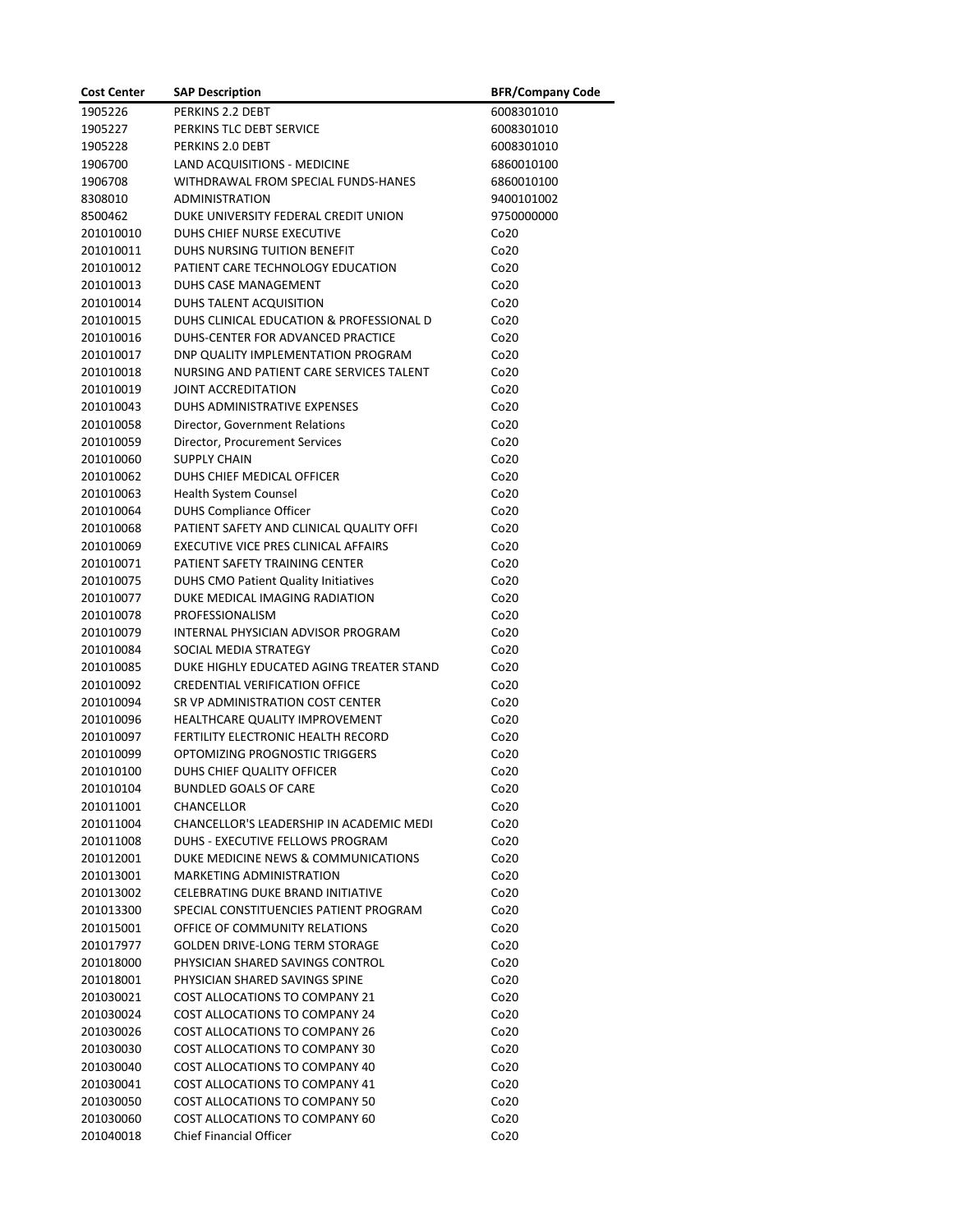| <b>Cost Center</b>     | <b>SAP Description</b>                                                           | <b>BFR/Company Code</b>              |
|------------------------|----------------------------------------------------------------------------------|--------------------------------------|
| 1905226                | PERKINS 2.2 DEBT                                                                 | 6008301010                           |
| 1905227                | PERKINS TLC DEBT SERVICE                                                         | 6008301010                           |
| 1905228                | PERKINS 2.0 DEBT                                                                 | 6008301010                           |
| 1906700                | LAND ACQUISITIONS - MEDICINE                                                     | 6860010100                           |
| 1906708                | WITHDRAWAL FROM SPECIAL FUNDS-HANES                                              | 6860010100                           |
| 8308010                | <b>ADMINISTRATION</b>                                                            | 9400101002                           |
| 8500462                | DUKE UNIVERSITY FEDERAL CREDIT UNION                                             | 9750000000                           |
| 201010010              | DUHS CHIEF NURSE EXECUTIVE                                                       | Co <sub>20</sub>                     |
| 201010011              | DUHS NURSING TUITION BENEFIT                                                     | Co <sub>20</sub>                     |
| 201010012              | PATIENT CARE TECHNOLOGY EDUCATION                                                | Co <sub>20</sub>                     |
| 201010013              | DUHS CASE MANAGEMENT                                                             | Co20                                 |
| 201010014              | DUHS TALENT ACQUISITION                                                          | Co <sub>20</sub>                     |
| 201010015              | DUHS CLINICAL EDUCATION & PROFESSIONAL D                                         | Co <sub>20</sub>                     |
| 201010016              | DUHS-CENTER FOR ADVANCED PRACTICE                                                | Co <sub>20</sub>                     |
| 201010017              | DNP QUALITY IMPLEMENTATION PROGRAM                                               | Co <sub>20</sub>                     |
| 201010018              | NURSING AND PATIENT CARE SERVICES TALENT                                         | Co <sub>20</sub>                     |
| 201010019              | JOINT ACCREDITATION                                                              | Co <sub>20</sub>                     |
| 201010043              | DUHS ADMINISTRATIVE EXPENSES                                                     | Co <sub>20</sub>                     |
| 201010058              | Director, Government Relations                                                   | Co <sub>20</sub>                     |
| 201010059              | Director, Procurement Services                                                   | Co20                                 |
| 201010060              | <b>SUPPLY CHAIN</b>                                                              | Co20                                 |
| 201010062              | DUHS CHIEF MEDICAL OFFICER                                                       | Co <sub>20</sub>                     |
| 201010063              | Health System Counsel                                                            | Co20                                 |
| 201010064              | <b>DUHS Compliance Officer</b>                                                   | Co <sub>20</sub>                     |
| 201010068<br>201010069 | PATIENT SAFETY AND CLINICAL QUALITY OFFI<br>EXECUTIVE VICE PRES CLINICAL AFFAIRS | Co <sub>20</sub><br>Co <sub>20</sub> |
| 201010071              | PATIENT SAFETY TRAINING CENTER                                                   | Co <sub>20</sub>                     |
| 201010075              | <b>DUHS CMO Patient Quality Initiatives</b>                                      | Co20                                 |
| 201010077              | DUKE MEDICAL IMAGING RADIATION                                                   | Co20                                 |
| 201010078              | PROFESSIONALISM                                                                  | Co <sub>20</sub>                     |
| 201010079              | INTERNAL PHYSICIAN ADVISOR PROGRAM                                               | Co <sub>20</sub>                     |
| 201010084              | SOCIAL MEDIA STRATEGY                                                            | Co <sub>20</sub>                     |
| 201010085              | DUKE HIGHLY EDUCATED AGING TREATER STAND                                         | Co <sub>20</sub>                     |
| 201010092              | <b>CREDENTIAL VERIFICATION OFFICE</b>                                            | Co <sub>20</sub>                     |
| 201010094              | SR VP ADMINISTRATION COST CENTER                                                 | Co <sub>20</sub>                     |
| 201010096              | HEALTHCARE QUALITY IMPROVEMENT                                                   | Co <sub>20</sub>                     |
| 201010097              | FERTILITY ELECTRONIC HEALTH RECORD                                               | Co <sub>20</sub>                     |
| 201010099              | OPTOMIZING PROGNOSTIC TRIGGERS                                                   | Co <sub>20</sub>                     |
| 201010100              | DUHS CHIEF QUALITY OFFICER                                                       | Co20                                 |
| 201010104              | <b>BUNDLED GOALS OF CARE</b>                                                     | Co <sub>20</sub>                     |
| 201011001              | <b>CHANCELLOR</b>                                                                | Co <sub>20</sub>                     |
| 201011004              | CHANCELLOR'S LEADERSHIP IN ACADEMIC MEDI                                         | Co20                                 |
| 201011008<br>201012001 | DUHS - EXECUTIVE FELLOWS PROGRAM                                                 | Co <sub>20</sub>                     |
| 201013001              | DUKE MEDICINE NEWS & COMMUNICATIONS<br>MARKETING ADMINISTRATION                  | Co <sub>20</sub><br>Co20             |
| 201013002              | CELEBRATING DUKE BRAND INITIATIVE                                                | Co <sub>20</sub>                     |
| 201013300              | SPECIAL CONSTITUENCIES PATIENT PROGRAM                                           | Co <sub>20</sub>                     |
| 201015001              | OFFICE OF COMMUNITY RELATIONS                                                    | Co <sub>20</sub>                     |
| 201017977              | <b>GOLDEN DRIVE-LONG TERM STORAGE</b>                                            | Co20                                 |
| 201018000              | PHYSICIAN SHARED SAVINGS CONTROL                                                 | Co20                                 |
| 201018001              | PHYSICIAN SHARED SAVINGS SPINE                                                   | Co <sub>20</sub>                     |
| 201030021              | COST ALLOCATIONS TO COMPANY 21                                                   | Co <sub>20</sub>                     |
| 201030024              | COST ALLOCATIONS TO COMPANY 24                                                   | Co <sub>20</sub>                     |
| 201030026              | <b>COST ALLOCATIONS TO COMPANY 26</b>                                            | Co <sub>20</sub>                     |
| 201030030              | COST ALLOCATIONS TO COMPANY 30                                                   | Co <sub>20</sub>                     |
| 201030040              | COST ALLOCATIONS TO COMPANY 40                                                   | Co <sub>20</sub>                     |
| 201030041              | COST ALLOCATIONS TO COMPANY 41                                                   | Co20                                 |
| 201030050              | COST ALLOCATIONS TO COMPANY 50                                                   | Co20                                 |
| 201030060              | COST ALLOCATIONS TO COMPANY 60                                                   | Co <sub>20</sub>                     |
| 201040018              | Chief Financial Officer                                                          | Co <sub>20</sub>                     |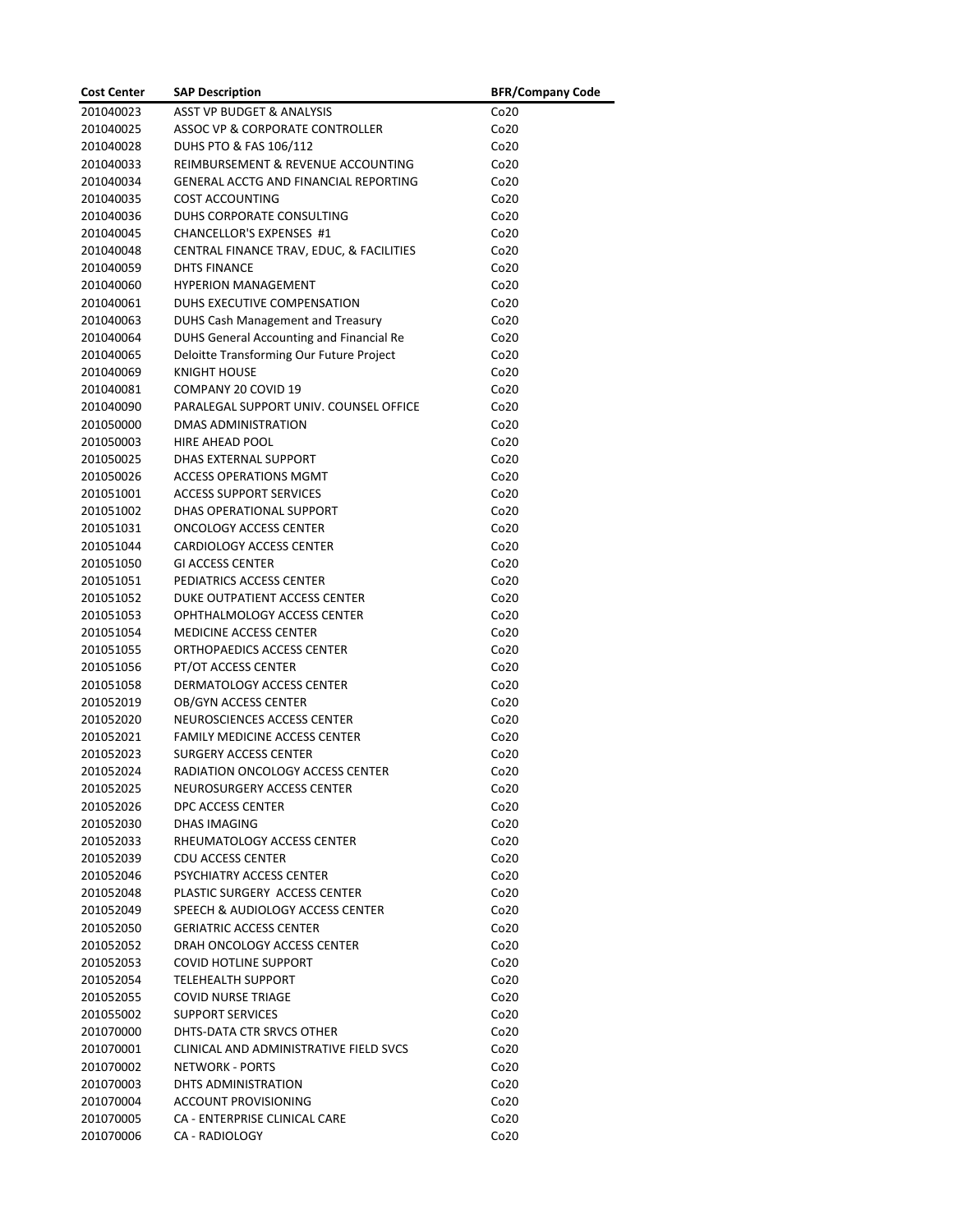| <b>Cost Center</b> | <b>SAP Description</b>                       | <b>BFR/Company Code</b> |
|--------------------|----------------------------------------------|-------------------------|
| 201040023          | <b>ASST VP BUDGET &amp; ANALYSIS</b>         | Co <sub>20</sub>        |
| 201040025          | ASSOC VP & CORPORATE CONTROLLER              | Co20                    |
| 201040028          | DUHS PTO & FAS 106/112                       | Co20                    |
| 201040033          | REIMBURSEMENT & REVENUE ACCOUNTING           | Co20                    |
| 201040034          | <b>GENERAL ACCTG AND FINANCIAL REPORTING</b> | Co20                    |
| 201040035          | <b>COST ACCOUNTING</b>                       | Co20                    |
| 201040036          | DUHS CORPORATE CONSULTING                    | Co <sub>20</sub>        |
| 201040045          | CHANCELLOR'S EXPENSES #1                     | Co <sub>20</sub>        |
| 201040048          | CENTRAL FINANCE TRAV, EDUC, & FACILITIES     | Co <sub>20</sub>        |
| 201040059          | <b>DHTS FINANCE</b>                          | Co20                    |
| 201040060          | <b>HYPERION MANAGEMENT</b>                   | Co20                    |
| 201040061          | DUHS EXECUTIVE COMPENSATION                  | Co <sub>20</sub>        |
| 201040063          | DUHS Cash Management and Treasury            | Co <sub>20</sub>        |
| 201040064          | DUHS General Accounting and Financial Re     | Co <sub>20</sub>        |
| 201040065          | Deloitte Transforming Our Future Project     | Co <sub>20</sub>        |
| 201040069          | <b>KNIGHT HOUSE</b>                          | Co <sub>20</sub>        |
|                    | COMPANY 20 COVID 19                          |                         |
| 201040081          | PARALEGAL SUPPORT UNIV. COUNSEL OFFICE       | Co20                    |
| 201040090          |                                              | Co <sub>20</sub>        |
| 201050000          | DMAS ADMINISTRATION                          | Co20                    |
| 201050003          | HIRE AHEAD POOL                              | Co20                    |
| 201050025          | DHAS EXTERNAL SUPPORT                        | Co <sub>20</sub>        |
| 201050026          | <b>ACCESS OPERATIONS MGMT</b>                | Co <sub>20</sub>        |
| 201051001          | <b>ACCESS SUPPORT SERVICES</b>               | Co <sub>20</sub>        |
| 201051002          | DHAS OPERATIONAL SUPPORT                     | Co <sub>20</sub>        |
| 201051031          | <b>ONCOLOGY ACCESS CENTER</b>                | Co <sub>20</sub>        |
| 201051044          | CARDIOLOGY ACCESS CENTER                     | Co <sub>20</sub>        |
| 201051050          | <b>GI ACCESS CENTER</b>                      | Co <sub>20</sub>        |
| 201051051          | PEDIATRICS ACCESS CENTER                     | Co <sub>20</sub>        |
| 201051052          | DUKE OUTPATIENT ACCESS CENTER                | Co <sub>20</sub>        |
| 201051053          | OPHTHALMOLOGY ACCESS CENTER                  | Co <sub>20</sub>        |
| 201051054          | <b>MEDICINE ACCESS CENTER</b>                | Co20                    |
| 201051055          | ORTHOPAEDICS ACCESS CENTER                   | Co <sub>20</sub>        |
| 201051056          | PT/OT ACCESS CENTER                          | Co <sub>20</sub>        |
| 201051058          | DERMATOLOGY ACCESS CENTER                    | Co20                    |
| 201052019          | <b>OB/GYN ACCESS CENTER</b>                  | Co <sub>20</sub>        |
| 201052020          | NEUROSCIENCES ACCESS CENTER                  | Co <sub>20</sub>        |
| 201052021          | <b>FAMILY MEDICINE ACCESS CENTER</b>         | Co <sub>20</sub>        |
| 201052023          | <b>SURGERY ACCESS CENTER</b>                 | Co20                    |
| 201052024          | RADIATION ONCOLOGY ACCESS CENTER             | Co20                    |
| 201052025          | NEUROSURGERY ACCESS CENTER                   | Co20                    |
| 201052026          | DPC ACCESS CENTER                            | Co20                    |
| 201052030          | <b>DHAS IMAGING</b>                          | Co <sub>20</sub>        |
| 201052033          | RHEUMATOLOGY ACCESS CENTER                   | Co <sub>20</sub>        |
| 201052039          | <b>CDU ACCESS CENTER</b>                     | Co <sub>20</sub>        |
| 201052046          | <b>PSYCHIATRY ACCESS CENTER</b>              | Co <sub>20</sub>        |
| 201052048          | PLASTIC SURGERY ACCESS CENTER                | Co <sub>20</sub>        |
| 201052049          | SPEECH & AUDIOLOGY ACCESS CENTER             | Co <sub>20</sub>        |
| 201052050          | <b>GERIATRIC ACCESS CENTER</b>               | Co <sub>20</sub>        |
| 201052052          | DRAH ONCOLOGY ACCESS CENTER                  | Co <sub>20</sub>        |
| 201052053          | <b>COVID HOTLINE SUPPORT</b>                 | Co <sub>20</sub>        |
| 201052054          | TELEHEALTH SUPPORT                           | Co <sub>20</sub>        |
| 201052055          | <b>COVID NURSE TRIAGE</b>                    | Co <sub>20</sub>        |
| 201055002          | <b>SUPPORT SERVICES</b>                      | Co <sub>20</sub>        |
| 201070000          | DHTS-DATA CTR SRVCS OTHER                    | Co <sub>20</sub>        |
| 201070001          | CLINICAL AND ADMINISTRATIVE FIELD SVCS       | Co <sub>20</sub>        |
| 201070002          | <b>NETWORK - PORTS</b>                       | Co <sub>20</sub>        |
| 201070003          | DHTS ADMINISTRATION                          | Co <sub>20</sub>        |
| 201070004          | ACCOUNT PROVISIONING                         | Co <sub>20</sub>        |
| 201070005          | CA - ENTERPRISE CLINICAL CARE                | Co <sub>20</sub>        |
| 201070006          | CA - RADIOLOGY                               | Co20                    |
|                    |                                              |                         |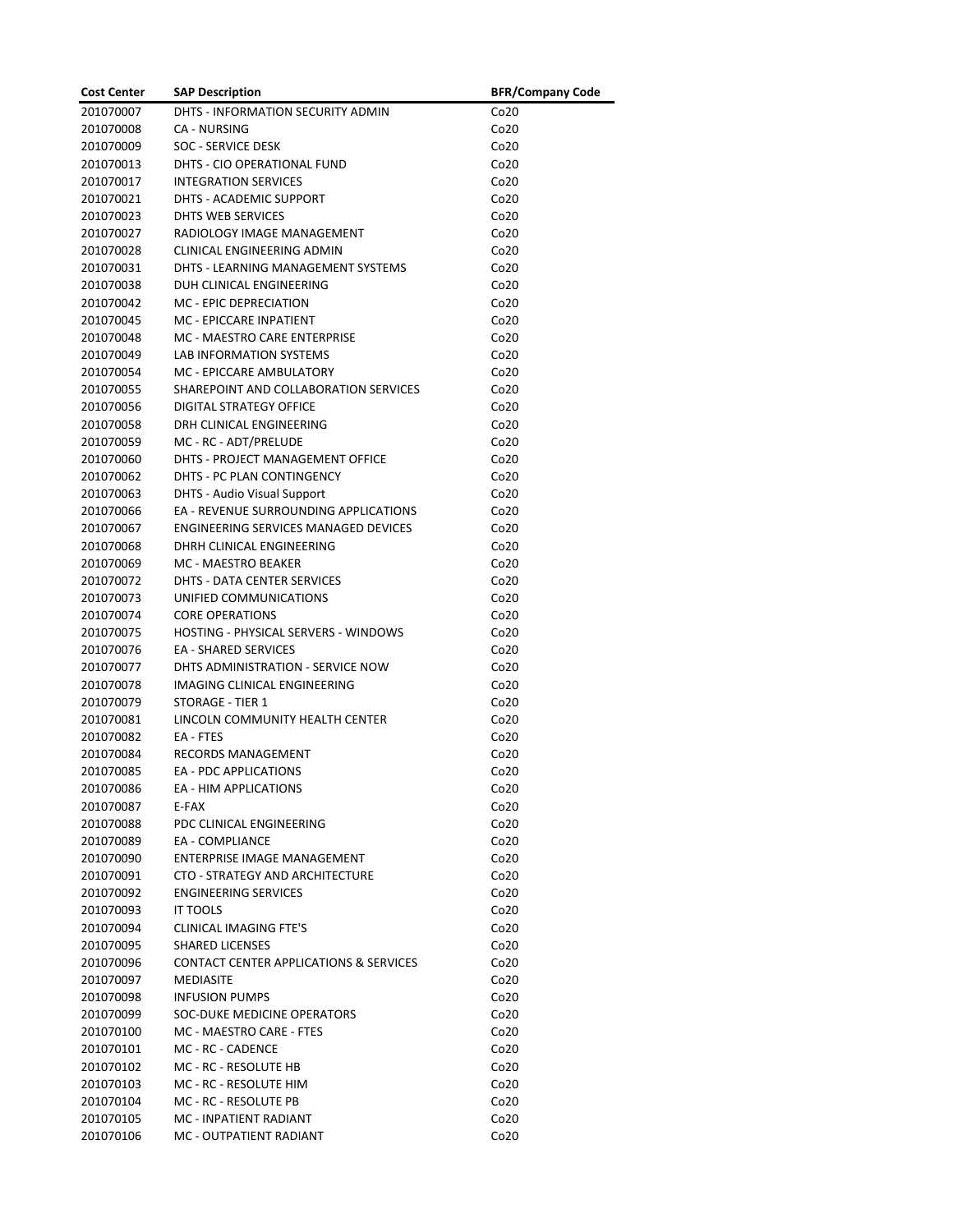| <b>Cost Center</b>     | <b>SAP Description</b>                              | <b>BFR/Company Code</b> |
|------------------------|-----------------------------------------------------|-------------------------|
| 201070007              | DHTS - INFORMATION SECURITY ADMIN                   | Co <sub>20</sub>        |
| 201070008              | <b>CA - NURSING</b>                                 | Co20                    |
| 201070009              | <b>SOC - SERVICE DESK</b>                           | Co20                    |
| 201070013              | DHTS - CIO OPERATIONAL FUND                         | Co <sub>20</sub>        |
| 201070017              | <b>INTEGRATION SERVICES</b>                         | Co <sub>20</sub>        |
| 201070021              | DHTS - ACADEMIC SUPPORT                             | Co <sub>20</sub>        |
| 201070023              | DHTS WEB SERVICES                                   | Co <sub>20</sub>        |
| 201070027              | RADIOLOGY IMAGE MANAGEMENT                          | Co <sub>20</sub>        |
| 201070028              | CLINICAL ENGINEERING ADMIN                          | Co <sub>20</sub>        |
| 201070031              | DHTS - LEARNING MANAGEMENT SYSTEMS                  | Co20                    |
| 201070038              | DUH CLINICAL ENGINEERING                            | Co <sub>20</sub>        |
| 201070042              | <b>MC - EPIC DEPRECIATION</b>                       | Co <sub>20</sub>        |
| 201070045              | MC - EPICCARE INPATIENT                             | Co <sub>20</sub>        |
| 201070048              | MC - MAESTRO CARE ENTERPRISE                        | Co <sub>20</sub>        |
| 201070049              | <b>LAB INFORMATION SYSTEMS</b>                      | Co <sub>20</sub>        |
| 201070054              | MC - EPICCARE AMBULATORY                            | Co20                    |
|                        |                                                     |                         |
| 201070055<br>201070056 | SHAREPOINT AND COLLABORATION SERVICES               | Co <sub>20</sub>        |
|                        | DIGITAL STRATEGY OFFICE<br>DRH CLINICAL ENGINEERING | Co <sub>20</sub>        |
| 201070058              |                                                     | Co <sub>20</sub>        |
| 201070059              | MC - RC - ADT/PRELUDE                               | Co <sub>20</sub>        |
| 201070060              | DHTS - PROJECT MANAGEMENT OFFICE                    | Co <sub>20</sub>        |
| 201070062              | DHTS - PC PLAN CONTINGENCY                          | Co <sub>20</sub>        |
| 201070063              | <b>DHTS - Audio Visual Support</b>                  | Co <sub>20</sub>        |
| 201070066              | EA - REVENUE SURROUNDING APPLICATIONS               | Co <sub>20</sub>        |
| 201070067              | ENGINEERING SERVICES MANAGED DEVICES                | Co <sub>20</sub>        |
| 201070068              | DHRH CLINICAL ENGINEERING                           | Co <sub>20</sub>        |
| 201070069              | <b>MC - MAESTRO BEAKER</b>                          | Co <sub>20</sub>        |
| 201070072              | DHTS - DATA CENTER SERVICES                         | Co20                    |
| 201070073              | UNIFIED COMMUNICATIONS                              | Co <sub>20</sub>        |
| 201070074              | <b>CORE OPERATIONS</b>                              | Co <sub>20</sub>        |
| 201070075              | <b>HOSTING - PHYSICAL SERVERS - WINDOWS</b>         | Co <sub>20</sub>        |
| 201070076              | <b>EA - SHARED SERVICES</b>                         | Co <sub>20</sub>        |
| 201070077              | DHTS ADMINISTRATION - SERVICE NOW                   | Co <sub>20</sub>        |
| 201070078              | IMAGING CLINICAL ENGINEERING                        | Co <sub>20</sub>        |
| 201070079              | <b>STORAGE - TIER 1</b>                             | Co <sub>20</sub>        |
| 201070081              | LINCOLN COMMUNITY HEALTH CENTER                     | Co <sub>20</sub>        |
| 201070082              | EA - FTES                                           | Co <sub>20</sub>        |
| 201070084              | RECORDS MANAGEMENT                                  | Co20                    |
| 201070085              | EA - PDC APPLICATIONS                               | Co20                    |
| 201070086              | EA - HIM APPLICATIONS                               | Co20                    |
| 201070087              | E-FAX                                               | Co <sub>20</sub>        |
| 201070088              | PDC CLINICAL ENGINEERING                            | Co <sub>20</sub>        |
| 201070089              | <b>EA - COMPLIANCE</b>                              | Co <sub>20</sub>        |
| 201070090              | ENTERPRISE IMAGE MANAGEMENT                         | Co <sub>20</sub>        |
| 201070091              | CTO - STRATEGY AND ARCHITECTURE                     | Co <sub>20</sub>        |
| 201070092              | <b>ENGINEERING SERVICES</b>                         | Co20                    |
| 201070093              | <b>IT TOOLS</b>                                     | Co <sub>20</sub>        |
| 201070094              | CLINICAL IMAGING FTE'S                              | Co <sub>20</sub>        |
| 201070095              | <b>SHARED LICENSES</b>                              | Co <sub>20</sub>        |
| 201070096              | CONTACT CENTER APPLICATIONS & SERVICES              | Co <sub>20</sub>        |
| 201070097              | MEDIASITE                                           | Co <sub>20</sub>        |
| 201070098              | <b>INFUSION PUMPS</b>                               | Co <sub>20</sub>        |
| 201070099              | SOC-DUKE MEDICINE OPERATORS                         | Co <sub>20</sub>        |
| 201070100              | MC - MAESTRO CARE - FTES                            | Co <sub>20</sub>        |
| 201070101              | MC - RC - CADENCE                                   | Co <sub>20</sub>        |
| 201070102              | MC - RC - RESOLUTE HB                               | Co <sub>20</sub>        |
| 201070103              | MC - RC - RESOLUTE HIM                              | Co <sub>20</sub>        |
| 201070104              | MC - RC - RESOLUTE PB                               | Co <sub>20</sub>        |
| 201070105              | MC - INPATIENT RADIANT                              | Co <sub>20</sub>        |
| 201070106              | MC - OUTPATIENT RADIANT                             | Co20                    |
|                        |                                                     |                         |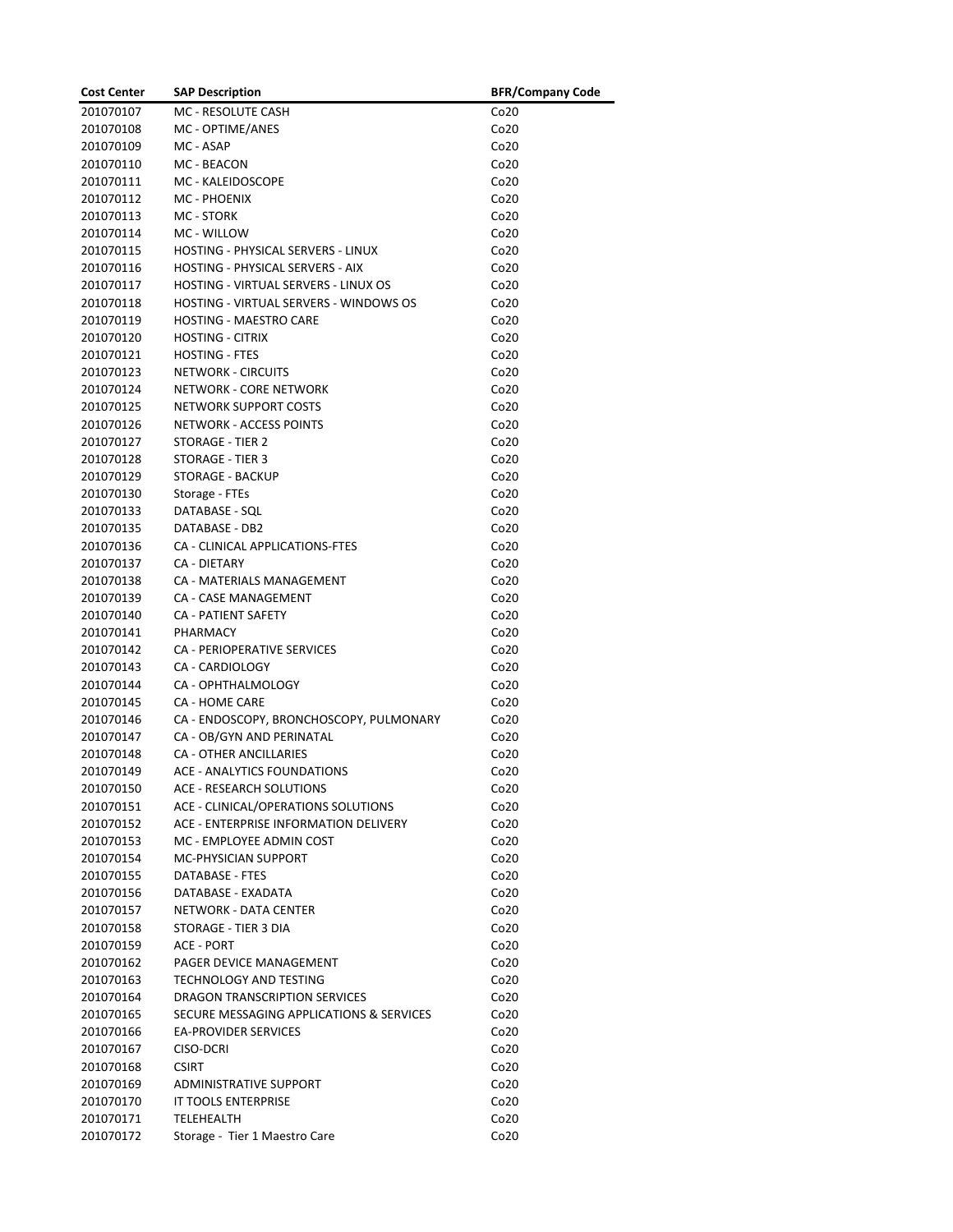| <b>Cost Center</b>     | <b>SAP Description</b>                                           | <b>BFR/Company Code</b>              |
|------------------------|------------------------------------------------------------------|--------------------------------------|
| 201070107              | MC - RESOLUTE CASH                                               | Co <sub>20</sub>                     |
| 201070108              | MC - OPTIME/ANES                                                 | Co <sub>20</sub>                     |
| 201070109              | MC - ASAP                                                        | Co <sub>20</sub>                     |
| 201070110              | MC - BEACON                                                      | Co <sub>20</sub>                     |
| 201070111              | MC - KALEIDOSCOPE                                                | Co <sub>20</sub>                     |
| 201070112              | MC - PHOENIX                                                     | Co <sub>20</sub>                     |
| 201070113              | <b>MC - STORK</b>                                                | Co <sub>20</sub>                     |
| 201070114              | MC - WILLOW                                                      | Co20                                 |
| 201070115              | HOSTING - PHYSICAL SERVERS - LINUX                               | Co <sub>20</sub>                     |
| 201070116              | HOSTING - PHYSICAL SERVERS - AIX                                 | Co <sub>20</sub>                     |
| 201070117              | HOSTING - VIRTUAL SERVERS - LINUX OS                             | Co <sub>20</sub>                     |
| 201070118              | <b>HOSTING - VIRTUAL SERVERS - WINDOWS OS</b>                    | Co <sub>20</sub>                     |
| 201070119              | <b>HOSTING - MAESTRO CARE</b>                                    | Co <sub>20</sub>                     |
| 201070120              | <b>HOSTING - CITRIX</b>                                          | Co <sub>20</sub>                     |
| 201070121              | <b>HOSTING - FTES</b>                                            | Co20                                 |
| 201070123              | NETWORK - CIRCUITS                                               | Co20                                 |
| 201070124              | <b>NETWORK - CORE NETWORK</b>                                    | Co20                                 |
| 201070125              | NETWORK SUPPORT COSTS                                            | Co20                                 |
| 201070126              | <b>NETWORK - ACCESS POINTS</b>                                   | Co <sub>20</sub>                     |
| 201070127              | <b>STORAGE - TIER 2</b>                                          | Co <sub>20</sub>                     |
| 201070128              | STORAGE - TIER 3                                                 | Co <sub>20</sub>                     |
| 201070129              | <b>STORAGE - BACKUP</b>                                          | Co <sub>20</sub>                     |
| 201070130              | Storage - FTEs                                                   | Co <sub>20</sub>                     |
| 201070133              | DATABASE - SOL                                                   | Co20                                 |
| 201070135              | DATABASE - DB2                                                   | Co <sub>20</sub>                     |
| 201070136              | CA - CLINICAL APPLICATIONS-FTES                                  | Co <sub>20</sub>                     |
| 201070137              | <b>CA - DIETARY</b>                                              | Co <sub>20</sub>                     |
| 201070138              | CA - MATERIALS MANAGEMENT                                        | Co <sub>20</sub>                     |
| 201070139              | CA - CASE MANAGEMENT                                             | Co <sub>20</sub>                     |
| 201070140              | CA - PATIENT SAFETY                                              | Co <sub>20</sub>                     |
| 201070141              | PHARMACY                                                         | Co <sub>20</sub>                     |
| 201070142              | CA - PERIOPERATIVE SERVICES                                      | Co20                                 |
| 201070143              | CA - CARDIOLOGY                                                  | Co <sub>20</sub>                     |
| 201070144<br>201070145 | CA - OPHTHALMOLOGY                                               | Co <sub>20</sub>                     |
| 201070146              | <b>CA - HOME CARE</b><br>CA - ENDOSCOPY, BRONCHOSCOPY, PULMONARY | Co <sub>20</sub><br>Co <sub>20</sub> |
| 201070147              | CA - OB/GYN AND PERINATAL                                        | Co <sub>20</sub>                     |
| 201070148              | <b>CA - OTHER ANCILLARIES</b>                                    | Co <sub>20</sub>                     |
| 201070149              | ACE - ANALYTICS FOUNDATIONS                                      | Co20                                 |
| 201070150              | <b>ACE - RESEARCH SOLUTIONS</b>                                  | Co20                                 |
| 201070151              | ACE - CLINICAL/OPERATIONS SOLUTIONS                              | Co <sub>20</sub>                     |
| 201070152              | ACE - ENTERPRISE INFORMATION DELIVERY                            | Co20                                 |
| 201070153              | MC - EMPLOYEE ADMIN COST                                         | Co <sub>20</sub>                     |
| 201070154              | MC-PHYSICIAN SUPPORT                                             | Co <sub>20</sub>                     |
| 201070155              | DATABASE - FTES                                                  | Co <sub>20</sub>                     |
| 201070156              | DATABASE - EXADATA                                               | Co20                                 |
| 201070157              | NETWORK - DATA CENTER                                            | Co <sub>20</sub>                     |
| 201070158              | STORAGE - TIER 3 DIA                                             | Co <sub>20</sub>                     |
| 201070159              | <b>ACE - PORT</b>                                                | Co20                                 |
| 201070162              | PAGER DEVICE MANAGEMENT                                          | Co <sub>20</sub>                     |
| 201070163              | <b>TECHNOLOGY AND TESTING</b>                                    | Co <sub>20</sub>                     |
| 201070164              | DRAGON TRANSCRIPTION SERVICES                                    | Co <sub>20</sub>                     |
| 201070165              | SECURE MESSAGING APPLICATIONS & SERVICES                         | Co <sub>20</sub>                     |
| 201070166              | <b>EA-PROVIDER SERVICES</b>                                      | Co <sub>20</sub>                     |
| 201070167              | CISO-DCRI                                                        | Co <sub>20</sub>                     |
| 201070168              | <b>CSIRT</b>                                                     | Co <sub>20</sub>                     |
| 201070169              | ADMINISTRATIVE SUPPORT                                           | Co <sub>20</sub>                     |
| 201070170              | IT TOOLS ENTERPRISE                                              | Co <sub>20</sub>                     |
| 201070171              | TELEHEALTH                                                       | Co <sub>20</sub>                     |
| 201070172              | Storage - Tier 1 Maestro Care                                    | Co20                                 |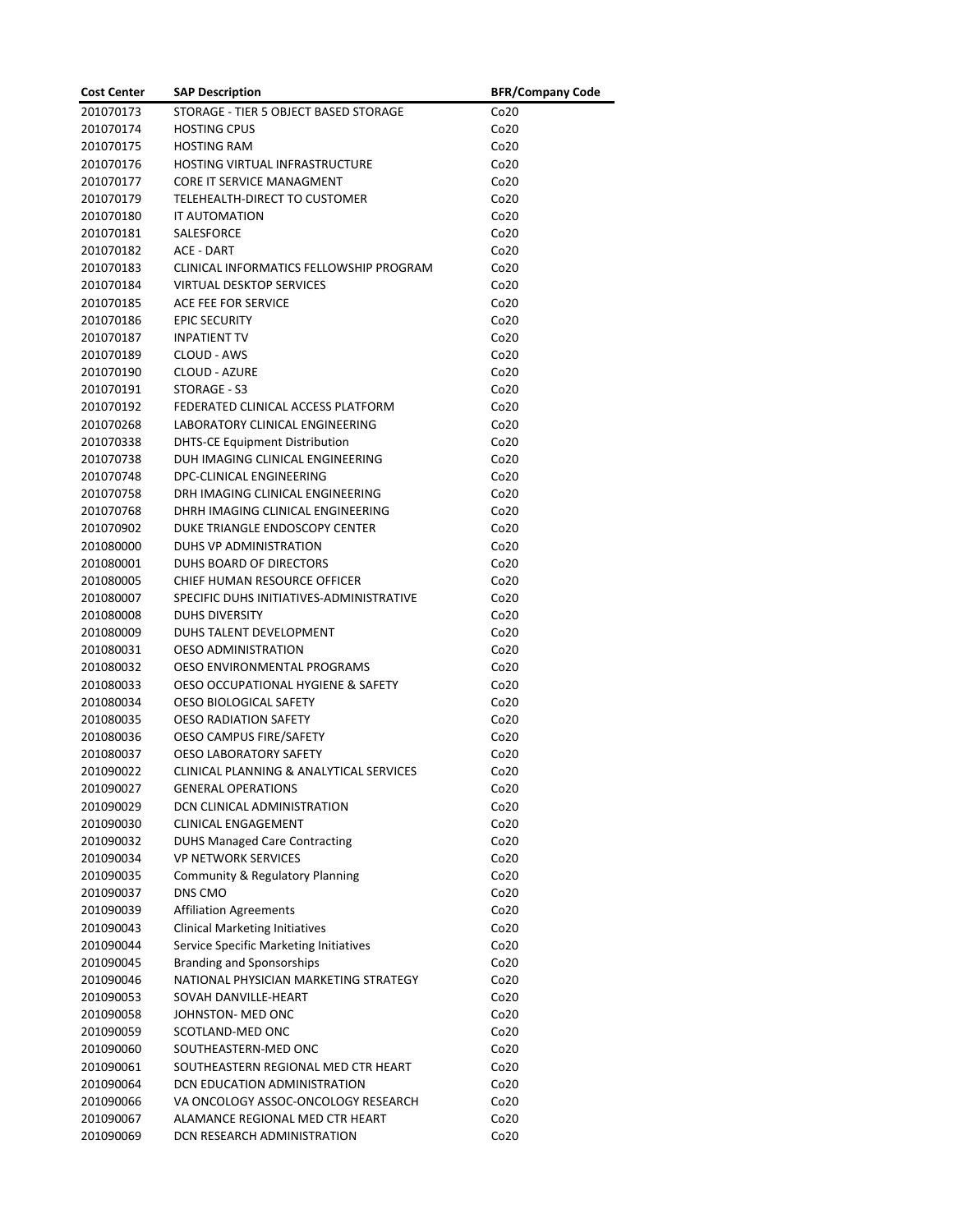| <b>Cost Center</b> | <b>SAP Description</b>                   | <b>BFR/Company Code</b> |
|--------------------|------------------------------------------|-------------------------|
| 201070173          | STORAGE - TIER 5 OBJECT BASED STORAGE    | Co <sub>20</sub>        |
| 201070174          | <b>HOSTING CPUS</b>                      | Co20                    |
| 201070175          | <b>HOSTING RAM</b>                       | Co20                    |
| 201070176          | HOSTING VIRTUAL INFRASTRUCTURE           | Co <sub>20</sub>        |
| 201070177          | CORE IT SERVICE MANAGMENT                | Co <sub>20</sub>        |
| 201070179          | TELEHEALTH-DIRECT TO CUSTOMER            | Co <sub>20</sub>        |
| 201070180          | IT AUTOMATION                            | Co <sub>20</sub>        |
| 201070181          | SALESFORCE                               | Co <sub>20</sub>        |
| 201070182          | ACE - DART                               | Co20                    |
| 201070183          | CLINICAL INFORMATICS FELLOWSHIP PROGRAM  | Co20                    |
| 201070184          | <b>VIRTUAL DESKTOP SERVICES</b>          | Co <sub>20</sub>        |
| 201070185          | ACE FEE FOR SERVICE                      | Co20                    |
| 201070186          | <b>EPIC SECURITY</b>                     | Co <sub>20</sub>        |
| 201070187          | <b>INPATIENT TV</b>                      | Co <sub>20</sub>        |
| 201070189          | CLOUD - AWS                              | Co <sub>20</sub>        |
| 201070190          | CLOUD - AZURE                            | Co20                    |
| 201070191          | STORAGE - S3                             | Co20                    |
| 201070192          | FEDERATED CLINICAL ACCESS PLATFORM       | Co <sub>20</sub>        |
| 201070268          | LABORATORY CLINICAL ENGINEERING          | Co <sub>20</sub>        |
| 201070338          | <b>DHTS-CE Equipment Distribution</b>    | Co <sub>20</sub>        |
| 201070738          | DUH IMAGING CLINICAL ENGINEERING         | Co <sub>20</sub>        |
| 201070748          | DPC-CLINICAL ENGINEERING                 | Co <sub>20</sub>        |
| 201070758          | DRH IMAGING CLINICAL ENGINEERING         | Co20                    |
| 201070768          | DHRH IMAGING CLINICAL ENGINEERING        | Co20                    |
| 201070902          | DUKE TRIANGLE ENDOSCOPY CENTER           | Co20                    |
| 201080000          | DUHS VP ADMINISTRATION                   | Co <sub>20</sub>        |
| 201080001          | DUHS BOARD OF DIRECTORS                  | Co20                    |
| 201080005          | CHIEF HUMAN RESOURCE OFFICER             | Co <sub>20</sub>        |
| 201080007          | SPECIFIC DUHS INITIATIVES-ADMINISTRATIVE | Co <sub>20</sub>        |
| 201080008          | <b>DUHS DIVERSITY</b>                    | Co <sub>20</sub>        |
| 201080009          | DUHS TALENT DEVELOPMENT                  | Co20                    |
| 201080031          | <b>OESO ADMINISTRATION</b>               | Co20                    |
| 201080032          | OESO ENVIRONMENTAL PROGRAMS              | Co <sub>20</sub>        |
| 201080033          | OESO OCCUPATIONAL HYGIENE & SAFETY       | Co <sub>20</sub>        |
| 201080034          | <b>OESO BIOLOGICAL SAFETY</b>            | Co <sub>20</sub>        |
| 201080035          | <b>OESO RADIATION SAFETY</b>             | Co <sub>20</sub>        |
| 201080036          | OESO CAMPUS FIRE/SAFETY                  | Co <sub>20</sub>        |
| 201080037          | <b>OESO LABORATORY SAFETY</b>            | Co <sub>20</sub>        |
| 201090022          | CLINICAL PLANNING & ANALYTICAL SERVICES  | Co20                    |
| 201090027          | <b>GENERAL OPERATIONS</b>                | Co20                    |
| 201090029          | DCN CLINICAL ADMINISTRATION              | Co <sub>20</sub>        |
| 201090030          | <b>CLINICAL ENGAGEMENT</b>               | Co20                    |
| 201090032          | <b>DUHS Managed Care Contracting</b>     | Co <sub>20</sub>        |
| 201090034          | <b>VP NETWORK SERVICES</b>               | Co20                    |
| 201090035          | Community & Regulatory Planning          | Co <sub>20</sub>        |
| 201090037          | DNS CMO                                  | Co20                    |
| 201090039          | <b>Affiliation Agreements</b>            | Co20                    |
| 201090043          | <b>Clinical Marketing Initiatives</b>    | Co20                    |
| 201090044          | Service Specific Marketing Initiatives   | Co20                    |
| 201090045          | <b>Branding and Sponsorships</b>         | Co20                    |
| 201090046          | NATIONAL PHYSICIAN MARKETING STRATEGY    | Co <sub>20</sub>        |
| 201090053          | SOVAH DANVILLE-HEART                     | Co20                    |
| 201090058          | JOHNSTON- MED ONC                        | Co20                    |
| 201090059          | SCOTLAND-MED ONC                         | Co20                    |
| 201090060          | SOUTHEASTERN-MED ONC                     | Co <sub>20</sub>        |
| 201090061          | SOUTHEASTERN REGIONAL MED CTR HEART      | Co <sub>20</sub>        |
| 201090064          | DCN EDUCATION ADMINISTRATION             | Co <sub>20</sub>        |
| 201090066          | VA ONCOLOGY ASSOC-ONCOLOGY RESEARCH      | Co <sub>20</sub>        |
| 201090067          | ALAMANCE REGIONAL MED CTR HEART          | Co20                    |
| 201090069          | DCN RESEARCH ADMINISTRATION              | Co20                    |
|                    |                                          |                         |